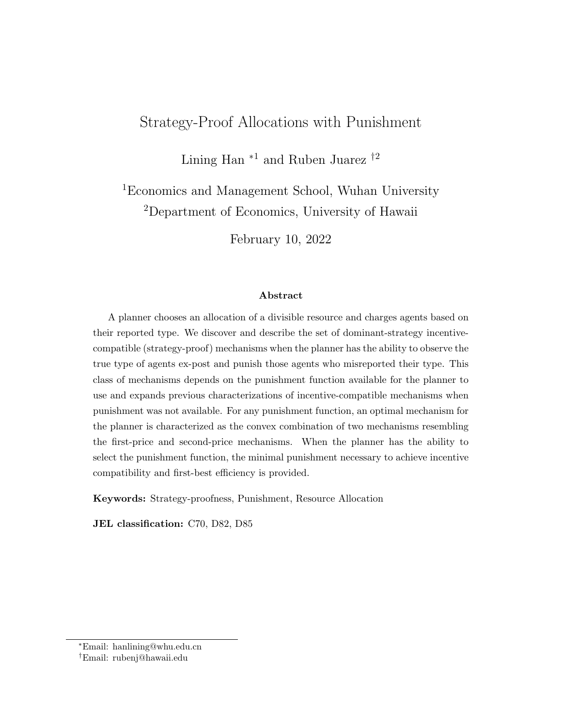# Strategy-Proof Allocations with Punishment

Lining Han  $*1$  and Ruben Juarez  $\dagger^2$ 

<sup>1</sup>Economics and Management School, Wuhan University <sup>2</sup>Department of Economics, University of Hawaii

February 10, 2022

#### Abstract

A planner chooses an allocation of a divisible resource and charges agents based on their reported type. We discover and describe the set of dominant-strategy incentivecompatible (strategy-proof) mechanisms when the planner has the ability to observe the true type of agents ex-post and punish those agents who misreported their type. This class of mechanisms depends on the punishment function available for the planner to use and expands previous characterizations of incentive-compatible mechanisms when punishment was not available. For any punishment function, an optimal mechanism for the planner is characterized as the convex combination of two mechanisms resembling the first-price and second-price mechanisms. When the planner has the ability to select the punishment function, the minimal punishment necessary to achieve incentive compatibility and first-best efficiency is provided.

Keywords: Strategy-proofness, Punishment, Resource Allocation

JEL classification: C70, D82, D85

<sup>∗</sup>Email: hanlining@whu.edu.cn

<sup>†</sup>Email: rubenj@hawaii.edu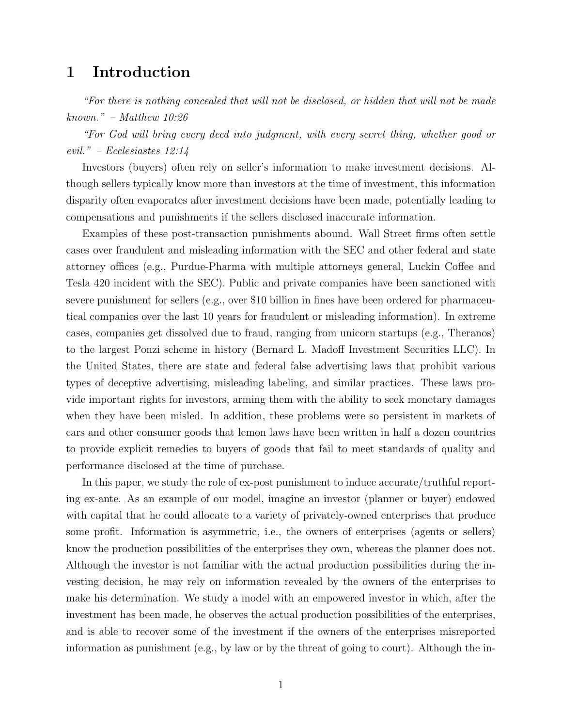# 1 Introduction

"For there is nothing concealed that will not be disclosed, or hidden that will not be made known." – Matthew 10:26

"For God will bring every deed into judgment, with every secret thing, whether good or evil." – Ecclesiastes 12:14

Investors (buyers) often rely on seller's information to make investment decisions. Although sellers typically know more than investors at the time of investment, this information disparity often evaporates after investment decisions have been made, potentially leading to compensations and punishments if the sellers disclosed inaccurate information.

Examples of these post-transaction punishments abound. Wall Street firms often settle cases over fraudulent and misleading information with the SEC and other federal and state attorney offices (e.g., Purdue-Pharma with multiple attorneys general, Luckin Coffee and Tesla 420 incident with the SEC). Public and private companies have been sanctioned with severe punishment for sellers (e.g., over \$10 billion in fines have been ordered for pharmaceutical companies over the last 10 years for fraudulent or misleading information). In extreme cases, companies get dissolved due to fraud, ranging from unicorn startups (e.g., Theranos) to the largest Ponzi scheme in history (Bernard L. Madoff Investment Securities LLC). In the United States, there are state and federal false advertising laws that prohibit various types of deceptive advertising, misleading labeling, and similar practices. These laws provide important rights for investors, arming them with the ability to seek monetary damages when they have been misled. In addition, these problems were so persistent in markets of cars and other consumer goods that lemon laws have been written in half a dozen countries to provide explicit remedies to buyers of goods that fail to meet standards of quality and performance disclosed at the time of purchase.

In this paper, we study the role of ex-post punishment to induce accurate/truthful reporting ex-ante. As an example of our model, imagine an investor (planner or buyer) endowed with capital that he could allocate to a variety of privately-owned enterprises that produce some profit. Information is asymmetric, i.e., the owners of enterprises (agents or sellers) know the production possibilities of the enterprises they own, whereas the planner does not. Although the investor is not familiar with the actual production possibilities during the investing decision, he may rely on information revealed by the owners of the enterprises to make his determination. We study a model with an empowered investor in which, after the investment has been made, he observes the actual production possibilities of the enterprises, and is able to recover some of the investment if the owners of the enterprises misreported information as punishment (e.g., by law or by the threat of going to court). Although the in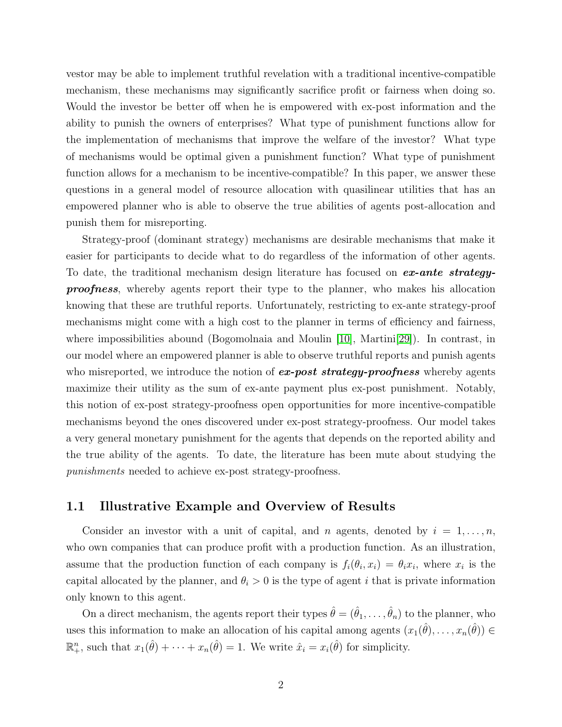vestor may be able to implement truthful revelation with a traditional incentive-compatible mechanism, these mechanisms may significantly sacrifice profit or fairness when doing so. Would the investor be better off when he is empowered with ex-post information and the ability to punish the owners of enterprises? What type of punishment functions allow for the implementation of mechanisms that improve the welfare of the investor? What type of mechanisms would be optimal given a punishment function? What type of punishment function allows for a mechanism to be incentive-compatible? In this paper, we answer these questions in a general model of resource allocation with quasilinear utilities that has an empowered planner who is able to observe the true abilities of agents post-allocation and punish them for misreporting.

Strategy-proof (dominant strategy) mechanisms are desirable mechanisms that make it easier for participants to decide what to do regardless of the information of other agents. To date, the traditional mechanism design literature has focused on **ex-ante strategy**proofness, whereby agents report their type to the planner, who makes his allocation knowing that these are truthful reports. Unfortunately, restricting to ex-ante strategy-proof mechanisms might come with a high cost to the planner in terms of efficiency and fairness, where impossibilities abound (Bogomolnaia and Moulin [\[10\]](#page-28-0), Martini[\[29\]](#page-30-0)). In contrast, in our model where an empowered planner is able to observe truthful reports and punish agents who misreported, we introduce the notion of  $ex\text{-}post\text{ strategy-}proofness$  whereby agents maximize their utility as the sum of ex-ante payment plus ex-post punishment. Notably, this notion of ex-post strategy-proofness open opportunities for more incentive-compatible mechanisms beyond the ones discovered under ex-post strategy-proofness. Our model takes a very general monetary punishment for the agents that depends on the reported ability and the true ability of the agents. To date, the literature has been mute about studying the punishments needed to achieve ex-post strategy-proofness.

# 1.1 Illustrative Example and Overview of Results

Consider an investor with a unit of capital, and n agents, denoted by  $i = 1, \ldots, n$ , who own companies that can produce profit with a production function. As an illustration, assume that the production function of each company is  $f_i(\theta_i, x_i) = \theta_i x_i$ , where  $x_i$  is the capital allocated by the planner, and  $\theta_i > 0$  is the type of agent i that is private information only known to this agent.

On a direct mechanism, the agents report their types  $\hat{\theta} = (\hat{\theta}_1, \dots, \hat{\theta}_n)$  to the planner, who uses this information to make an allocation of his capital among agents  $(x_1(\hat{\theta}), \ldots, x_n(\hat{\theta})) \in$  $\mathbb{R}^n_+$ , such that  $x_1(\hat{\theta}) + \cdots + x_n(\hat{\theta}) = 1$ . We write  $\hat{x}_i = x_i(\hat{\theta})$  for simplicity.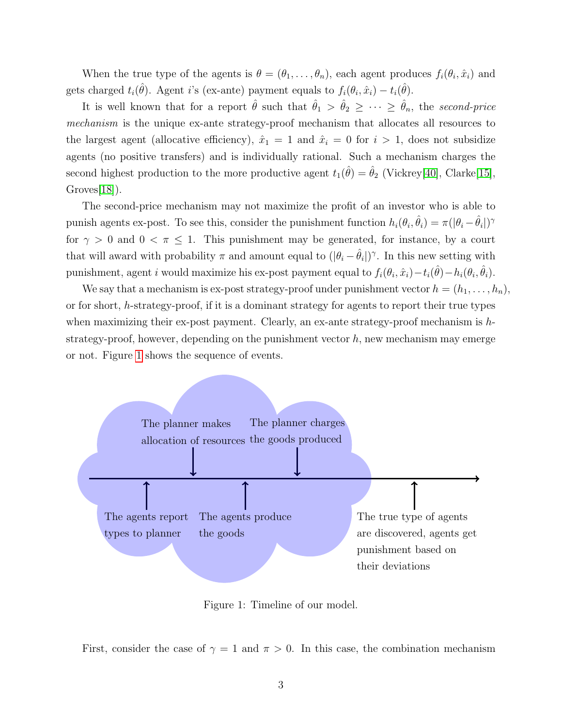When the true type of the agents is  $\theta = (\theta_1, \dots, \theta_n)$ , each agent produces  $f_i(\theta_i, \hat{x}_i)$  and gets charged  $t_i(\hat{\theta})$ . Agent i's (ex-ante) payment equals to  $f_i(\theta_i, \hat{x}_i) - t_i(\hat{\theta})$ .

It is well known that for a report  $\hat{\theta}$  such that  $\hat{\theta}_1 > \hat{\theta}_2 \geq \cdots \geq \hat{\theta}_n$ , the second-price mechanism is the unique ex-ante strategy-proof mechanism that allocates all resources to the largest agent (allocative efficiency),  $\hat{x}_1 = 1$  and  $\hat{x}_i = 0$  for  $i > 1$ , does not subsidize agents (no positive transfers) and is individually rational. Such a mechanism charges the second highest production to the more productive agent  $t_1(\hat{\theta}) = \hat{\theta}_2$  (Vickrey[\[40\]](#page-30-1), Clarke[\[15\]](#page-29-0), Groves[\[18\]](#page-29-1)).

The second-price mechanism may not maximize the profit of an investor who is able to punish agents ex-post. To see this, consider the punishment function  $h_i(\theta_i, \hat{\theta}_i) = \pi(|\theta_i - \hat{\theta}_i|)^{\gamma}$ for  $\gamma > 0$  and  $0 < \pi \leq 1$ . This punishment may be generated, for instance, by a court that will award with probability  $\pi$  and amount equal to  $(|\theta_i - \hat{\theta}_i|)^{\gamma}$ . In this new setting with punishment, agent i would maximize his ex-post payment equal to  $f_i(\theta_i, \hat{x}_i) - t_i(\hat{\theta}) - h_i(\theta_i, \hat{\theta}_i)$ .

We say that a mechanism is ex-post strategy-proof under punishment vector  $h = (h_1, \ldots, h_n)$ . or for short, h-strategy-proof, if it is a dominant strategy for agents to report their true types when maximizing their ex-post payment. Clearly, an ex-ante strategy-proof mechanism is  $h$ strategy-proof, however, depending on the punishment vector  $h$ , new mechanism may emerge or not. Figure [1](#page-3-0) shows the sequence of events.



<span id="page-3-0"></span>Figure 1: Timeline of our model.

First, consider the case of  $\gamma = 1$  and  $\pi > 0$ . In this case, the combination mechanism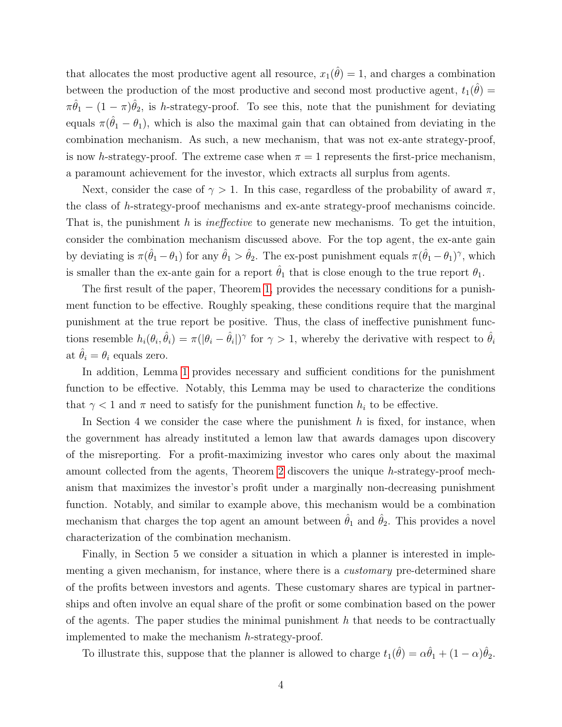that allocates the most productive agent all resource,  $x_1(\hat{\theta}) = 1$ , and charges a combination between the production of the most productive and second most productive agent,  $t_1(\hat{\theta}) =$  $\pi \hat{\theta}_1 - (1 - \pi) \hat{\theta}_2$ , is h-strategy-proof. To see this, note that the punishment for deviating equals  $\pi(\hat{\theta}_1 - \theta_1)$ , which is also the maximal gain that can obtained from deviating in the combination mechanism. As such, a new mechanism, that was not ex-ante strategy-proof, is now h-strategy-proof. The extreme case when  $\pi = 1$  represents the first-price mechanism, a paramount achievement for the investor, which extracts all surplus from agents.

Next, consider the case of  $\gamma > 1$ . In this case, regardless of the probability of award  $\pi$ , the class of h-strategy-proof mechanisms and ex-ante strategy-proof mechanisms coincide. That is, the punishment h is *ineffective* to generate new mechanisms. To get the intuition, consider the combination mechanism discussed above. For the top agent, the ex-ante gain by deviating is  $\pi(\hat{\theta}_1 - \theta_1)$  for any  $\hat{\theta}_1 > \hat{\theta}_2$ . The ex-post punishment equals  $\pi(\hat{\theta}_1 - \theta_1)^\gamma$ , which is smaller than the ex-ante gain for a report  $\hat{\theta}_1$  that is close enough to the true report  $\theta_1$ .

The first result of the paper, Theorem [1,](#page-11-0) provides the necessary conditions for a punishment function to be effective. Roughly speaking, these conditions require that the marginal punishment at the true report be positive. Thus, the class of ineffective punishment functions resemble  $h_i(\theta_i, \hat{\theta}_i) = \pi(|\theta_i - \hat{\theta}_i|)^{\gamma}$  for  $\gamma > 1$ , whereby the derivative with respect to  $\hat{\theta}_i$ at  $\theta_i = \theta_i$  equals zero.

In addition, Lemma [1](#page-10-0) provides necessary and sufficient conditions for the punishment function to be effective. Notably, this Lemma may be used to characterize the conditions that  $\gamma$  < 1 and  $\pi$  need to satisfy for the punishment function  $h_i$  to be effective.

In Section 4 we consider the case where the punishment  $h$  is fixed, for instance, when the government has already instituted a lemon law that awards damages upon discovery of the misreporting. For a profit-maximizing investor who cares only about the maximal amount collected from the agents, Theorem [2](#page-15-0) discovers the unique h-strategy-proof mechanism that maximizes the investor's profit under a marginally non-decreasing punishment function. Notably, and similar to example above, this mechanism would be a combination mechanism that charges the top agent an amount between  $\hat{\theta}_1$  and  $\hat{\theta}_2$ . This provides a novel characterization of the combination mechanism.

Finally, in Section 5 we consider a situation in which a planner is interested in implementing a given mechanism, for instance, where there is a *customary* pre-determined share of the profits between investors and agents. These customary shares are typical in partnerships and often involve an equal share of the profit or some combination based on the power of the agents. The paper studies the minimal punishment  $h$  that needs to be contractually implemented to make the mechanism h-strategy-proof.

To illustrate this, suppose that the planner is allowed to charge  $t_1(\hat{\theta}) = \alpha \hat{\theta}_1 + (1 - \alpha)\hat{\theta}_2$ .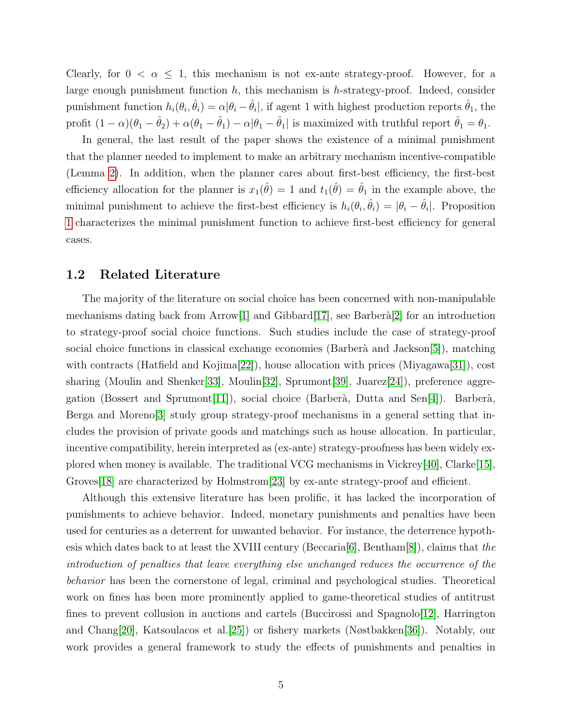Clearly, for  $0 < \alpha \leq 1$ , this mechanism is not ex-ante strategy-proof. However, for a large enough punishment function  $h$ , this mechanism is  $h$ -strategy-proof. Indeed, consider punishment function  $h_i(\theta_i, \hat{\theta}_i) = \alpha |\theta_i - \hat{\theta}_i|$ , if agent 1 with highest production reports  $\hat{\theta}_1$ , the profit  $(1 - \alpha)(\theta_1 - \hat{\theta}_2) + \alpha(\theta_1 - \hat{\theta}_1) - \alpha|\theta_1 - \hat{\theta}_1|$  is maximized with truthful report  $\hat{\theta}_1 = \theta_1$ .

In general, the last result of the paper shows the existence of a minimal punishment that the planner needed to implement to make an arbitrary mechanism incentive-compatible (Lemma [2\)](#page-17-0). In addition, when the planner cares about first-best efficiency, the first-best efficiency allocation for the planner is  $x_1(\hat{\theta}) = 1$  and  $t_1(\hat{\theta}) = \hat{\theta}_1$  in the example above, the minimal punishment to achieve the first-best efficiency is  $h_i(\theta_i, \hat{\theta}_i) = |\theta_i - \hat{\theta}_i|$ . Proposition [1](#page-17-1) characterizes the minimal punishment function to achieve first-best efficiency for general cases.

## 1.2 Related Literature

The majority of the literature on social choice has been concerned with non-manipulable mechanisms dating back from Arrow<sup>[\[1\]](#page-28-1)</sup> and Gibbard<sup>[\[17\]](#page-29-2)</sup>, see Barberà<sup>[\[2\]](#page-28-2)</sup> for an introduction to strategy-proof social choice functions. Such studies include the case of strategy-proof social choice functions in classical exchange economies (Barberà and Jackson $[5]$ ), matching with contracts (Hatfield and Kojima[\[22\]](#page-29-3)), house allocation with prices (Miyagawa[\[31\]](#page-30-2)), cost sharing (Moulin and Shenker[\[33\]](#page-30-3), Moulin[\[32\]](#page-30-4), Sprumont[\[39\]](#page-30-5), Juarez[\[24\]](#page-29-4)), preference aggre-gation (Bossert and Sprumont[\[11\]](#page-28-4)), social choice (Barberà, Dutta and Sen[\[4\]](#page-28-5)). Barberà, Berga and Moreno[\[3\]](#page-28-6) study group strategy-proof mechanisms in a general setting that includes the provision of private goods and matchings such as house allocation. In particular, incentive compatibility, herein interpreted as (ex-ante) strategy-proofness has been widely explored when money is available. The traditional VCG mechanisms in Vickrey[\[40\]](#page-30-1), Clarke[\[15\]](#page-29-0), Groves<sup>[\[18\]](#page-29-1)</sup> are characterized by Holmstrom<sup>[\[23\]](#page-29-5)</sup> by ex-ante strategy-proof and efficient.

Although this extensive literature has been prolific, it has lacked the incorporation of punishments to achieve behavior. Indeed, monetary punishments and penalties have been used for centuries as a deterrent for unwanted behavior. For instance, the deterrence hypothesis which dates back to at least the XVIII century (Beccaria  $[6]$ , Bentham $[8]$ ), claims that the introduction of penalties that leave everything else unchanged reduces the occurrence of the behavior has been the cornerstone of legal, criminal and psychological studies. Theoretical work on fines has been more prominently applied to game-theoretical studies of antitrust fines to prevent collusion in auctions and cartels (Buccirossi and Spagnolo $[12]$ , Harrington and Chang[\[20\]](#page-29-6), Katsoulacos et al.[\[25\]](#page-29-7)) or fishery markets (Nøstbakken[\[36\]](#page-30-6)). Notably, our work provides a general framework to study the effects of punishments and penalties in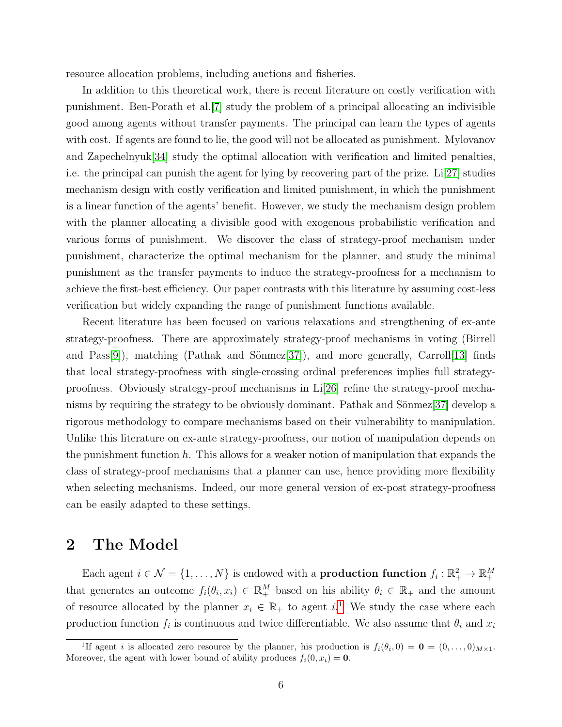resource allocation problems, including auctions and fisheries.

In addition to this theoretical work, there is recent literature on costly verification with punishment. Ben-Porath et al.[\[7\]](#page-28-10) study the problem of a principal allocating an indivisible good among agents without transfer payments. The principal can learn the types of agents with cost. If agents are found to lie, the good will not be allocated as punishment. Mylovanov and Zapechelnyuk[\[34\]](#page-30-7) study the optimal allocation with verification and limited penalties, i.e. the principal can punish the agent for lying by recovering part of the prize. Li[\[27\]](#page-29-8) studies mechanism design with costly verification and limited punishment, in which the punishment is a linear function of the agents' benefit. However, we study the mechanism design problem with the planner allocating a divisible good with exogenous probabilistic verification and various forms of punishment. We discover the class of strategy-proof mechanism under punishment, characterize the optimal mechanism for the planner, and study the minimal punishment as the transfer payments to induce the strategy-proofness for a mechanism to achieve the first-best efficiency. Our paper contrasts with this literature by assuming cost-less verification but widely expanding the range of punishment functions available.

Recent literature has been focused on various relaxations and strengthening of ex-ante strategy-proofness. There are approximately strategy-proof mechanisms in voting (Birrell and Pass[\[9\]](#page-28-11)), matching (Pathak and Sönmez[\[37\]](#page-30-8)), and more generally, Carroll[\[13\]](#page-28-12) finds that local strategy-proofness with single-crossing ordinal preferences implies full strategyproofness. Obviously strategy-proof mechanisms in Li[\[26\]](#page-29-9) refine the strategy-proof mecha-nisms by requiring the strategy to be obviously dominant. Pathak and Sönmez[\[37\]](#page-30-8) develop a rigorous methodology to compare mechanisms based on their vulnerability to manipulation. Unlike this literature on ex-ante strategy-proofness, our notion of manipulation depends on the punishment function  $h$ . This allows for a weaker notion of manipulation that expands the class of strategy-proof mechanisms that a planner can use, hence providing more flexibility when selecting mechanisms. Indeed, our more general version of ex-post strategy-proofness can be easily adapted to these settings.

# 2 The Model

Each agent  $i \in \mathcal{N} = \{1, ..., N\}$  is endowed with a **production function**  $f_i : \mathbb{R}_+^2 \to \mathbb{R}_+^M$ that generates an outcome  $f_i(\theta_i, x_i) \in \mathbb{R}^M_+$  based on his ability  $\theta_i \in \mathbb{R}_+$  and the amount of resource allocated by the planner  $x_i \in \mathbb{R}_+$  to agent i.<sup>[1](#page-6-0)</sup> We study the case where each production function  $f_i$  is continuous and twice differentiable. We also assume that  $\theta_i$  and  $x_i$ 

<span id="page-6-0"></span><sup>&</sup>lt;sup>1</sup>If agent *i* is allocated zero resource by the planner, his production is  $f_i(\theta_i, 0) = \mathbf{0} = (0, \ldots, 0)_{M \times 1}$ . Moreover, the agent with lower bound of ability produces  $f_i(0, x_i) = \mathbf{0}$ .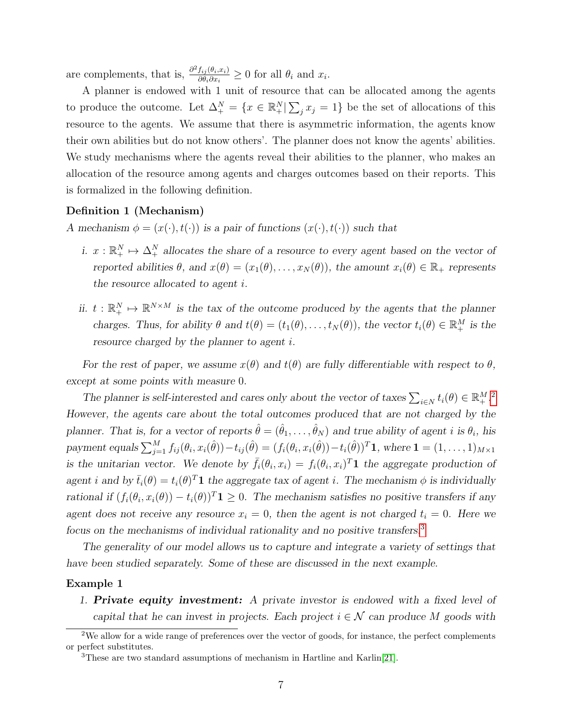are complements, that is,  $\frac{\partial^2 f_{ij}(\theta_i, x_i)}{\partial \theta_i \partial x_i}$  $\frac{f_{ij}(\theta_i,x_i)}{\partial \theta_i \partial x_i} \geq 0$  for all  $\theta_i$  and  $x_i$ .

A planner is endowed with 1 unit of resource that can be allocated among the agents to produce the outcome. Let  $\Delta_+^N = \{x \in \mathbb{R}_+^N | \sum_j x_j = 1\}$  be the set of allocations of this resource to the agents. We assume that there is asymmetric information, the agents know their own abilities but do not know others'. The planner does not know the agents' abilities. We study mechanisms where the agents reveal their abilities to the planner, who makes an allocation of the resource among agents and charges outcomes based on their reports. This is formalized in the following definition.

#### Definition 1 (Mechanism)

A mechanism  $\phi = (x(\cdot), t(\cdot))$  is a pair of functions  $(x(\cdot), t(\cdot))$  such that

- i.  $x: \mathbb{R}^N_+ \mapsto \Delta^N_+$  allocates the share of a resource to every agent based on the vector of reported abilities  $\theta$ , and  $x(\theta) = (x_1(\theta), \dots, x_N(\theta))$ , the amount  $x_i(\theta) \in \mathbb{R}_+$  represents the resource allocated to agent i.
- ii.  $t : \mathbb{R}^N_+ \to \mathbb{R}^{N \times M}$  is the tax of the outcome produced by the agents that the planner charges. Thus, for ability  $\theta$  and  $t(\theta) = (t_1(\theta), \dots, t_N(\theta))$ , the vector  $t_i(\theta) \in \mathbb{R}^M_+$  is the resource charged by the planner to agent i.

For the rest of paper, we assume  $x(\theta)$  and  $t(\theta)$  are fully differentiable with respect to  $\theta$ . except at some points with measure 0.

The planner is self-interested and cares only about the vector of taxes  $\sum_{i\in N} t_i(\theta) \in \mathbb{R}^{M}$ . However, the agents care about the total outcomes produced that are not charged by the planner. That is, for a vector of reports  $\hat{\theta} = (\hat{\theta}_1, \dots, \hat{\theta}_N)$  and true ability of agent i is  $\theta_i$ , his payment equals  $\sum_{j=1}^M f_{ij}(\theta_i, x_i(\hat{\theta})) - t_{ij}(\hat{\theta}) = (f_i(\theta_i, x_i(\hat{\theta})) - t_i(\hat{\theta}))^T \mathbf{1}$ , where  $\mathbf{1} = (1, \ldots, 1)_{M \times 1}$ is the unitarian vector. We denote by  $\bar{f}_i(\theta_i, x_i) = f_i(\theta_i, x_i)^T \mathbf{1}$  the aggregate production of agent i and by  $\bar{t}_i(\theta) = t_i(\theta)^T \mathbf{1}$  the aggregate tax of agent i. The mechanism  $\phi$  is individually rational if  $(f_i(\theta_i, x_i(\theta)) - t_i(\theta))^T \mathbf{1} \geq 0$ . The mechanism satisfies no positive transfers if any agent does not receive any resource  $x_i = 0$ , then the agent is not charged  $t_i = 0$ . Here we focus on the mechanisms of individual rationality and no positive transfers.[3](#page-7-1)

The generality of our model allows us to capture and integrate a variety of settings that have been studied separately. Some of these are discussed in the next example.

#### Example 1

1. Private equity investment: A private investor is endowed with a fixed level of capital that he can invest in projects. Each project  $i \in \mathcal{N}$  can produce M goods with

<span id="page-7-0"></span><sup>2</sup>We allow for a wide range of preferences over the vector of goods, for instance, the perfect complements or perfect substitutes.

<span id="page-7-1"></span><sup>3</sup>These are two standard assumptions of mechanism in Hartline and Karlin[\[21\]](#page-29-10).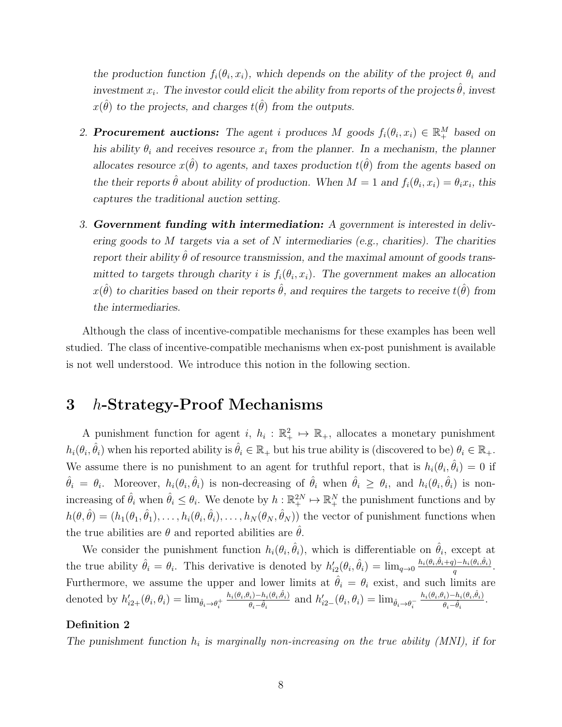the production function  $f_i(\theta_i, x_i)$ , which depends on the ability of the project  $\theta_i$  and investment  $x_i$ . The investor could elicit the ability from reports of the projects  $\hat{\theta}$ , invest  $x(\hat{\theta})$  to the projects, and charges  $t(\hat{\theta})$  from the outputs.

- 2. **Procurement auctions:** The agent i produces M goods  $f_i(\theta_i, x_i) \in \mathbb{R}_+^M$  based on his ability  $\theta_i$  and receives resource  $x_i$  from the planner. In a mechanism, the planner allocates resource  $x(\hat{\theta})$  to agents, and taxes production  $t(\hat{\theta})$  from the agents based on the their reports  $\hat{\theta}$  about ability of production. When  $M = 1$  and  $f_i(\theta_i, x_i) = \theta_i x_i$ , this captures the traditional auction setting.
- 3. Government funding with intermediation: A government is interested in delivering goods to  $M$  targets via a set of  $N$  intermediaries (e.g., charities). The charities report their ability  $\hat{\theta}$  of resource transmission, and the maximal amount of goods transmitted to targets through charity i is  $f_i(\theta_i, x_i)$ . The government makes an allocation  $x(\hat{\theta})$  to charities based on their reports  $\hat{\theta}$ , and requires the targets to receive  $t(\hat{\theta})$  from the intermediaries.

Although the class of incentive-compatible mechanisms for these examples has been well studied. The class of incentive-compatible mechanisms when ex-post punishment is available is not well understood. We introduce this notion in the following section.

# 3 h-Strategy-Proof Mechanisms

A punishment function for agent  $i, h_i : \mathbb{R}_+^2 \mapsto \mathbb{R}_+$ , allocates a monetary punishment  $h_i(\theta_i, \hat{\theta}_i)$  when his reported ability is  $\hat{\theta}_i \in \mathbb{R}_+$  but his true ability is (discovered to be)  $\theta_i \in \mathbb{R}_+$ . We assume there is no punishment to an agent for truthful report, that is  $h_i(\theta_i, \hat{\theta}_i) = 0$  if  $\hat{\theta}_i = \theta_i$ . Moreover,  $h_i(\theta_i, \hat{\theta}_i)$  is non-decreasing of  $\hat{\theta}_i$  when  $\hat{\theta}_i \ge \theta_i$ , and  $h_i(\theta_i, \hat{\theta}_i)$  is nonincreasing of  $\hat{\theta}_i$  when  $\hat{\theta}_i \leq \theta_i$ . We denote by  $h : \mathbb{R}^{2N}_+ \to \mathbb{R}^{N}_+$  the punishment functions and by  $h(\theta, \hat{\theta}) = (h_1(\theta_1, \hat{\theta}_1), \dots, h_i(\theta_i, \hat{\theta}_i), \dots, h_N(\theta_N, \hat{\theta}_N))$  the vector of punishment functions when the true abilities are  $\theta$  and reported abilities are  $\hat{\theta}$ .

We consider the punishment function  $h_i(\theta_i, \hat{\theta}_i)$ , which is differentiable on  $\hat{\theta}_i$ , except at the true ability  $\hat{\theta}_i = \theta_i$ . This derivative is denoted by  $h'_{i2}(\theta_i, \hat{\theta}_i) = \lim_{q \to 0} \frac{h_i(\theta_i, \hat{\theta}_i + q) - h_i(\theta_i, \hat{\theta}_i)}{q}$  $\frac{(1-n_i(\theta_i,\theta_i))}{q}.$ Furthermore, we assume the upper and lower limits at  $\hat{\theta}_i = \theta_i$  exist, and such limits are denoted by  $h'_{i2+}(\theta_i, \theta_i) = \lim_{\hat{\theta}_i \to \theta_i^+}$  $h_i(\theta_i, \theta_i) - h_i(\theta_i, \hat{\theta}_i)$  $\frac{\theta_i-h_i(\theta_i,\theta_i)}{\theta_i-\hat{\theta}_i}$  and  $h'_{i2-}(\theta_i,\theta_i)=\lim_{\hat{\theta}_i\to\theta_i^-}$  $h_i(\theta_i, \theta_i) - h_i(\theta_i, \hat{\theta}_i)$  $\frac{\theta_i)-h_i(\theta_i,\theta_i)}{\theta_i-\hat{\theta}_i}.$ 

#### Definition 2

The punishment function  $h_i$  is marginally non-increasing on the true ability (MNI), if for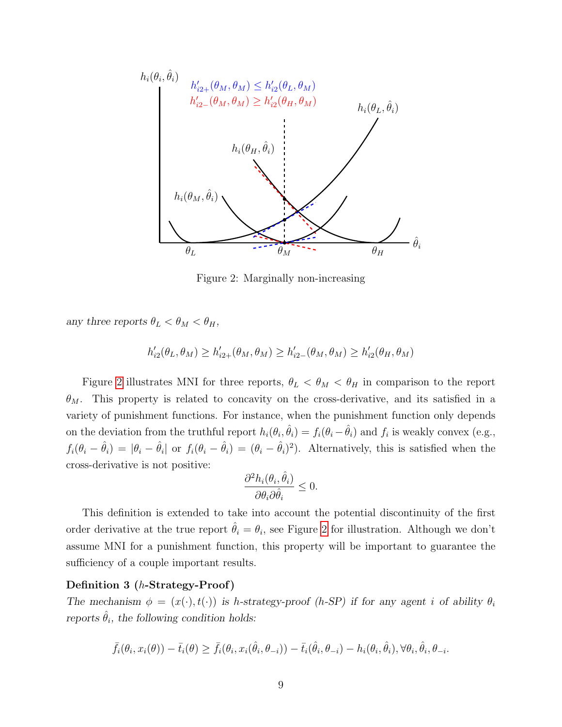

Figure 2: Marginally non-increasing

<span id="page-9-0"></span>any three reports  $\theta_L < \theta_M < \theta_H$ ,

$$
h'_{i2}(\theta_L, \theta_M) \ge h'_{i2+}(\theta_M, \theta_M) \ge h'_{i2-}(\theta_M, \theta_M) \ge h'_{i2}(\theta_H, \theta_M)
$$

Figure [2](#page-9-0) illustrates MNI for three reports,  $\theta_L < \theta_M < \theta_H$  in comparison to the report  $\theta_M$ . This property is related to concavity on the cross-derivative, and its satisfied in a variety of punishment functions. For instance, when the punishment function only depends on the deviation from the truthful report  $h_i(\theta_i, \hat{\theta}_i) = f_i(\theta_i - \hat{\theta}_i)$  and  $f_i$  is weakly convex (e.g.,  $f_i(\theta_i - \hat{\theta}_i) = |\theta_i - \hat{\theta}_i|$  or  $f_i(\theta_i - \hat{\theta}_i) = (\theta_i - \hat{\theta}_i)^2$ . Alternatively, this is satisfied when the cross-derivative is not positive:

$$
\frac{\partial^2 h_i(\theta_i, \hat{\theta}_i)}{\partial \theta_i \partial \hat{\theta}_i} \leq 0.
$$

This definition is extended to take into account the potential discontinuity of the first order derivative at the true report  $\hat{\theta}_i = \theta_i$ , see Figure [2](#page-9-0) for illustration. Although we don't assume MNI for a punishment function, this property will be important to guarantee the sufficiency of a couple important results.

#### Definition 3 (h-Strategy-Proof)

The mechanism  $\phi = (x(\cdot), t(\cdot))$  is h-strategy-proof (h-SP) if for any agent i of ability  $\theta_i$ reports  $\hat{\theta}_i$ , the following condition holds:

$$
\bar{f}_i(\theta_i, x_i(\theta)) - \bar{t}_i(\theta) \ge \bar{f}_i(\theta_i, x_i(\hat{\theta}_i, \theta_{-i})) - \bar{t}_i(\hat{\theta}_i, \theta_{-i}) - h_i(\theta_i, \hat{\theta}_i), \forall \theta_i, \hat{\theta}_i, \theta_{-i}.
$$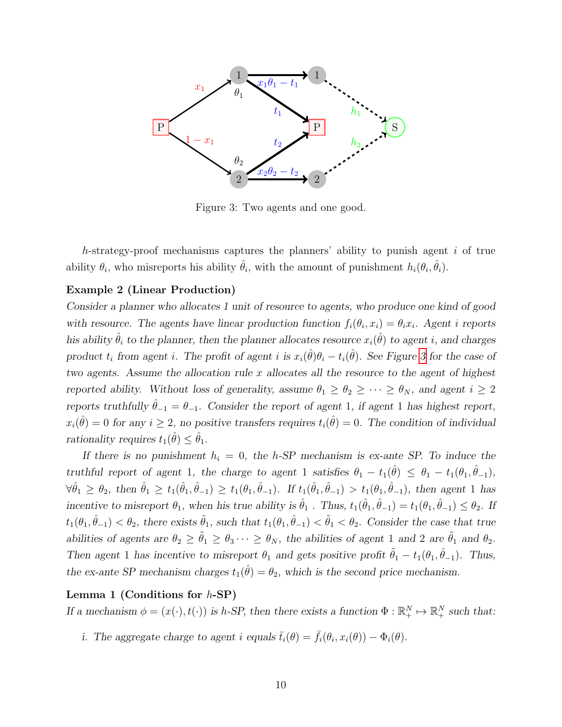

<span id="page-10-1"></span>Figure 3: Two agents and one good.

h-strategy-proof mechanisms captures the planners' ability to punish agent  $i$  of true ability  $\theta_i$ , who misreports his ability  $\hat{\theta}_i$ , with the amount of punishment  $h_i(\theta_i, \hat{\theta}_i)$ .

### <span id="page-10-2"></span>Example 2 (Linear Production)

Consider a planner who allocates 1 unit of resource to agents, who produce one kind of good with resource. The agents have linear production function  $f_i(\theta_i, x_i) = \theta_i x_i$ . Agent i reports his ability  $\hat{\theta}_i$  to the planner, then the planner allocates resource  $x_i(\hat{\theta})$  to agent i, and charges product  $t_i$  from agent i. The profit of agent i is  $x_i(\hat{\theta})\theta_i - t_i(\hat{\theta})$ . See Figure [3](#page-10-1) for the case of two agents. Assume the allocation rule  $x$  allocates all the resource to the agent of highest reported ability. Without loss of generality, assume  $\theta_1 \ge \theta_2 \ge \cdots \ge \theta_N$ , and agent  $i \ge 2$ reports truthfully  $\hat{\theta}_{-1} = \theta_{-1}$ . Consider the report of agent 1, if agent 1 has highest report,  $x_i(\hat{\theta}) = 0$  for any  $i \geq 2$ , no positive transfers requires  $t_i(\hat{\theta}) = 0$ . The condition of individual rationality requires  $t_1(\hat{\theta}) \leq \hat{\theta}_1$ .

If there is no punishment  $h_i = 0$ , the h-SP mechanism is ex-ante SP. To induce the truthful report of agent 1, the charge to agent 1 satisfies  $\theta_1 - t_1(\hat{\theta}) \leq \theta_1 - t_1(\theta_1, \hat{\theta}_{-1}),$  $\forall \hat{\theta}_1 \geq \theta_2$ , then  $\hat{\theta}_1 \geq t_1(\hat{\theta}_1, \hat{\theta}_{-1}) \geq t_1(\theta_1, \hat{\theta}_{-1})$ . If  $t_1(\hat{\theta}_1, \hat{\theta}_{-1}) > t_1(\theta_1, \hat{\theta}_{-1})$ , then agent 1 has incentive to misreport  $\theta_1$ , when his true ability is  $\hat{\theta}_1$ . Thus,  $t_1(\hat{\theta}_1, \hat{\theta}_{-1}) = t_1(\theta_1, \hat{\theta}_{-1}) \le \theta_2$ . If  $t_1(\theta_1, \hat{\theta}_{-1}) < \theta_2$ , there exists  $\tilde{\theta}_1$ , such that  $t_1(\theta_1, \hat{\theta}_{-1}) < \tilde{\theta}_1 < \theta_2$ . Consider the case that true abilities of agents are  $\theta_2 \ge \tilde{\theta}_1 \ge \theta_3 \cdots \ge \theta_N$ , the abilities of agent 1 and 2 are  $\tilde{\theta}_1$  and  $\theta_2$ . Then agent 1 has incentive to misreport  $\theta_1$  and gets positive profit  $\tilde{\theta}_1 - t_1(\theta_1, \hat{\theta}_{-1})$ . Thus, the ex-ante SP mechanism charges  $t_1(\hat{\theta}) = \theta_2$ , which is the second price mechanism.

#### <span id="page-10-0"></span>Lemma 1 (Conditions for  $h$ -SP)

If a mechanism  $\phi = (x(\cdot), t(\cdot))$  is h-SP, then there exists a function  $\Phi : \mathbb{R}_+^N \to \mathbb{R}_+^N$  such that:

i. The aggregate charge to agent i equals  $\bar{t}_i(\theta) = \bar{f}_i(\theta_i, x_i(\theta)) - \Phi_i(\theta)$ .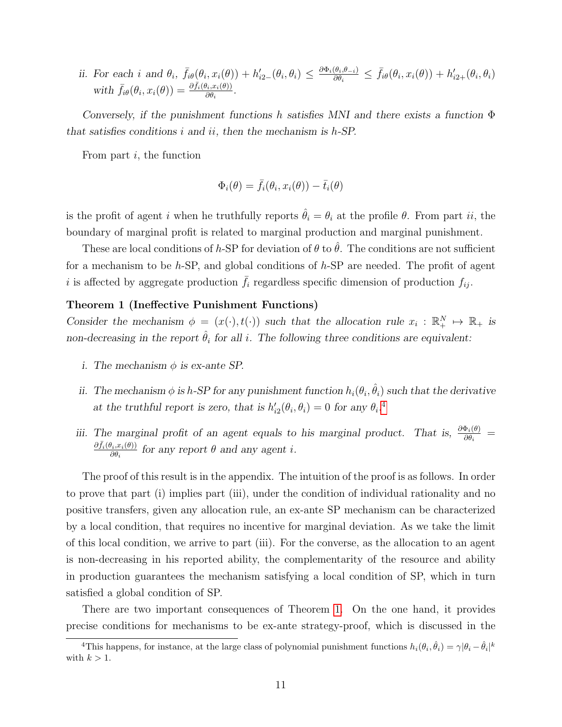ii. For each i and  $\theta_i$ ,  $\bar{f}_{i\theta}(\theta_i, x_i(\theta)) + h'_{i2}(\theta_i, \theta_i) \leq \frac{\partial \Phi_i(\theta_i, \theta_{-i})}{\partial \theta_i}$  $\frac{\partial(\theta_i,\theta_{-i})}{\partial\theta_i} \leq \bar{f}_{i\theta}(\theta_i,x_i(\theta)) + h'_{i2+}(\theta_i,\theta_i)$ with  $\bar{f}_{i\theta}(\theta_i, x_i(\theta)) = \frac{\partial \bar{f}_i(\theta_i, x_i(\theta))}{\partial \theta_i}$  $\frac{\partial i, x_i(\theta))}{\partial \theta_i}$ .

Conversely, if the punishment functions h satisfies MNI and there exists a function  $\Phi$ that satisfies conditions  $i$  and  $ii$ , then the mechanism is  $h$ -SP.

From part  $i$ , the function

$$
\Phi_i(\theta) = \bar{f}_i(\theta_i, x_i(\theta)) - \bar{t}_i(\theta)
$$

is the profit of agent i when he truthfully reports  $\hat{\theta}_i = \theta_i$  at the profile  $\theta$ . From part ii, the boundary of marginal profit is related to marginal production and marginal punishment.

These are local conditions of h-SP for deviation of  $\theta$  to  $\hat{\theta}$ . The conditions are not sufficient for a mechanism to be  $h$ -SP, and global conditions of  $h$ -SP are needed. The profit of agent i is affected by aggregate production  $\bar{f}_i$  regardless specific dimension of production  $f_{ij}$ .

### <span id="page-11-0"></span>Theorem 1 (Ineffective Punishment Functions)

Consider the mechanism  $\phi = (x(\cdot), t(\cdot))$  such that the allocation rule  $x_i : \mathbb{R}_+^N \mapsto \mathbb{R}_+$  is non-decreasing in the report  $\hat{\theta}_i$  for all i. The following three conditions are equivalent:

- i. The mechanism  $\phi$  is ex-ante SP.
- ii. The mechanism  $\phi$  is h-SP for any punishment function  $h_i(\theta_i, \hat{\theta}_i)$  such that the derivative at the truthful report is zero, that is  $h'_{i2}(\theta_i, \theta_i) = 0$  for any  $\theta_i$ .<sup>[4](#page-11-1)</sup>
- iii. The marginal profit of an agent equals to his marginal product. That is,  $\frac{\partial \Phi_i(\theta)}{\partial \theta_i}$  =  $\partial \bar{f}_i(\theta_i,x_i(\theta))$  $\frac{\partial i_i, x_i(\theta)}{\partial \theta_i}$  for any report  $\theta$  and any agent *i*.

The proof of this result is in the appendix. The intuition of the proof is as follows. In order to prove that part (i) implies part (iii), under the condition of individual rationality and no positive transfers, given any allocation rule, an ex-ante SP mechanism can be characterized by a local condition, that requires no incentive for marginal deviation. As we take the limit of this local condition, we arrive to part (iii). For the converse, as the allocation to an agent is non-decreasing in his reported ability, the complementarity of the resource and ability in production guarantees the mechanism satisfying a local condition of SP, which in turn satisfied a global condition of SP.

There are two important consequences of Theorem [1.](#page-11-0) On the one hand, it provides precise conditions for mechanisms to be ex-ante strategy-proof, which is discussed in the

<span id="page-11-1"></span><sup>&</sup>lt;sup>4</sup>This happens, for instance, at the large class of polynomial punishment functions  $h_i(\theta_i, \hat{\theta}_i) = \gamma |\theta_i - \hat{\theta}_i|^k$ with  $k > 1$ .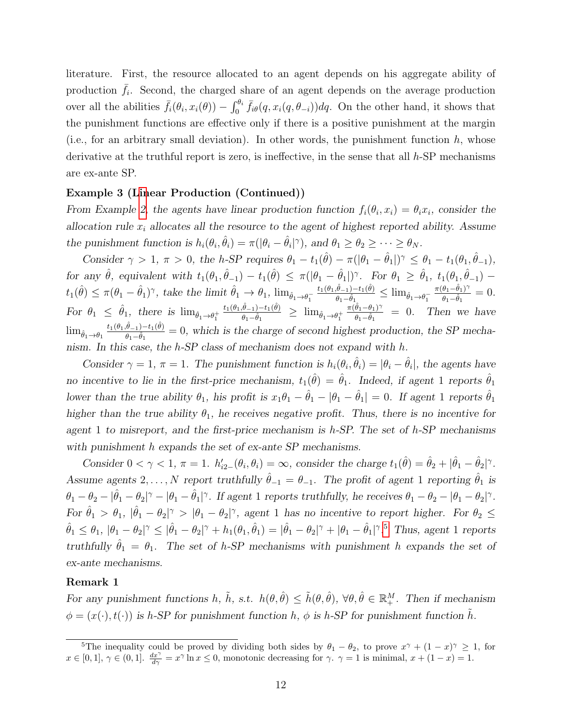literature. First, the resource allocated to an agent depends on his aggregate ability of production  $\bar{f}_i$ . Second, the charged share of an agent depends on the average production over all the abilities  $\bar{f}_i(\theta_i, x_i(\theta)) - \int_0^{\theta_i} \bar{f}_{i\theta}(q, x_i(q, \theta_{-i})) dq$ . On the other hand, it shows that the punishment functions are effective only if there is a positive punishment at the margin (i.e., for an arbitrary small deviation). In other words, the punishment function  $h$ , whose derivative at the truthful report is zero, is ineffective, in the sense that all  $h$ -SP mechanisms are ex-ante SP.

#### <span id="page-12-1"></span>Example 3 ([Lin](#page-10-2)ear Production (Continued))

From Example 2, the agents have linear production function  $f_i(\theta_i, x_i) = \theta_i x_i$ , consider the allocation rule  $x_i$  allocates all the resource to the agent of highest reported ability. Assume the punishment function is  $h_i(\theta_i, \hat{\theta}_i) = \pi(|\theta_i - \hat{\theta}_i|^{\gamma})$ , and  $\theta_1 \ge \theta_2 \ge \cdots \ge \theta_N$ .

Consider  $\gamma > 1$ ,  $\pi > 0$ , the h-SP requires  $\theta_1 - t_1(\hat{\theta}) - \pi(|\theta_1 - \hat{\theta}_1|)^{\gamma} \leq \theta_1 - t_1(\theta_1, \hat{\theta}_{-1}),$ for any  $\hat{\theta}$ , equivalent with  $t_1(\theta_1, \hat{\theta}_{-1}) - t_1(\hat{\theta}) \leq \pi(|\theta_1 - \hat{\theta}_1|)^{\gamma}$ . For  $\theta_1 \geq \hat{\theta}_1$ ,  $t_1(\theta_1, \hat{\theta}_{-1})$  $t_1(\hat{\theta}) \leq \pi(\theta_1 - \hat{\theta}_1)^{\gamma}$ , take the limit  $\hat{\theta}_1 \to \theta_1$ ,  $\lim_{\hat{\theta}_1 \to \theta_1^{-}}$  $t_{1}(\theta_1,\hat{\theta}_{-1})-t_{1}(\hat{\theta})$  $\frac{\theta_{-1}-t_1(\theta)}{\theta_1-\hat{\theta}_1}\leq \lim_{\hat{\theta}_1\to\theta_1^-}$  $\pi(\theta_1-\hat{\theta}_1)^{\gamma}$  $\frac{\theta_1-\theta_1}{\theta_1-\hat{\theta}_1}=0.$ For  $\theta_1 \leq \hat{\theta}_1$ , there is  $\lim_{\hat{\theta}_1 \to \theta_1^+}$  $t_{1}(\theta_1,\hat{\theta}_{-1})-t_{1}(\hat{\theta})$  $\frac{\theta_{-1}-t_1(\theta)}{\theta_1-\hat{\theta}_1} \geq \lim_{\hat{\theta}_1\to\theta_1^+}$  $\pi(\hat{\theta}_1-\theta_1)^\gamma$  $\frac{\theta_1 - \theta_1}{\theta_1 - \hat{\theta}_1}$  = 0. Then we have  $\lim_{\hat{\theta}_1 \to \theta_1}$  $t_{1}(\theta_{1},\hat{\theta}_{-1})-t_{1}(\hat{\theta})$  $\frac{\theta-1)-t_1(\theta)}{\theta_1-\hat{\theta}_1}=0$ , which is the charge of second highest production, the SP mechanism. In this case, the h-SP class of mechanism does not expand with h.

Consider  $\gamma = 1$ ,  $\pi = 1$ . The punishment function is  $h_i(\theta_i, \hat{\theta}_i) = |\theta_i - \hat{\theta}_i|$ , the agents have no incentive to lie in the first-price mechanism,  $t_1(\hat{\theta}) = \hat{\theta}_1$ . Indeed, if agent 1 reports  $\hat{\theta}_1$ lower than the true ability  $\theta_1$ , his profit is  $x_1\theta_1 - \hat{\theta}_1 - |\theta_1 - \hat{\theta}_1| = 0$ . If agent 1 reports  $\hat{\theta}_1$ higher than the true ability  $\theta_1$ , he receives negative profit. Thus, there is no incentive for agent 1 to misreport, and the first-price mechanism is  $h$ -SP. The set of  $h$ -SP mechanisms with punishment h expands the set of ex-ante SP mechanisms.

Consider  $0 < \gamma < 1$ ,  $\pi = 1$ .  $h'_{i2}(\theta_i, \theta_i) = \infty$ , consider the charge  $t_1(\hat{\theta}) = \hat{\theta}_2 + |\hat{\theta}_1 - \hat{\theta}_2|^{\gamma}$ . Assume agents 2, ..., N report truthfully  $\hat{\theta}_{-1} = \theta_{-1}$ . The profit of agent 1 reporting  $\hat{\theta}_1$  is  $\theta_1 - \theta_2 - |\hat{\theta}_1 - \theta_2|^{\gamma} - |\theta_1 - \hat{\theta}_1|^{\gamma}$ . If agent 1 reports truthfully, he receives  $\theta_1 - \theta_2 - |\theta_1 - \theta_2|^{\gamma}$ . For  $\hat{\theta}_1 > \theta_1$ ,  $|\hat{\theta}_1 - \theta_2|^{\gamma} > |\theta_1 - \theta_2|^{\gamma}$ , agent 1 has no incentive to report higher. For  $\theta_2 \leq$  $\hat{\theta}_1 \leq \theta_1$ ,  $|\theta_1 - \theta_2|^{\gamma} \leq |\hat{\theta}_1 - \theta_2|^{\gamma} + h_1(\theta_1, \hat{\theta}_1) = |\hat{\theta}_1 - \theta_2|^{\gamma} + |\theta_1 - \hat{\theta}_1|^{\gamma}$ .<sup>[5](#page-12-0)</sup> Thus, agent 1 reports truthfully  $\hat{\theta}_1 = \theta_1$ . The set of h-SP mechanisms with punishment h expands the set of ex-ante mechanisms.

## <span id="page-12-2"></span>Remark 1

For any punishment functions h,  $\tilde{h}$ , s.t.  $h(\theta, \hat{\theta}) \leq \tilde{h}(\theta, \hat{\theta})$ ,  $\forall \theta, \hat{\theta} \in \mathbb{R}^M_+$ . Then if mechanism  $\phi = (x(\cdot), t(\cdot))$  is h-SP for punishment function h,  $\phi$  is h-SP for punishment function h.

<span id="page-12-0"></span><sup>&</sup>lt;sup>5</sup>The inequality could be proved by dividing both sides by  $\theta_1 - \theta_2$ , to prove  $x^{\gamma} + (1 - x)^{\gamma} \ge 1$ , for  $x \in [0,1], \gamma \in (0,1].$   $\frac{dx^{\gamma}}{d\gamma} = x^{\gamma} \ln x \leq 0$ , monotonic decreasing for  $\gamma$ .  $\gamma = 1$  is minimal,  $x + (1 - x) = 1$ .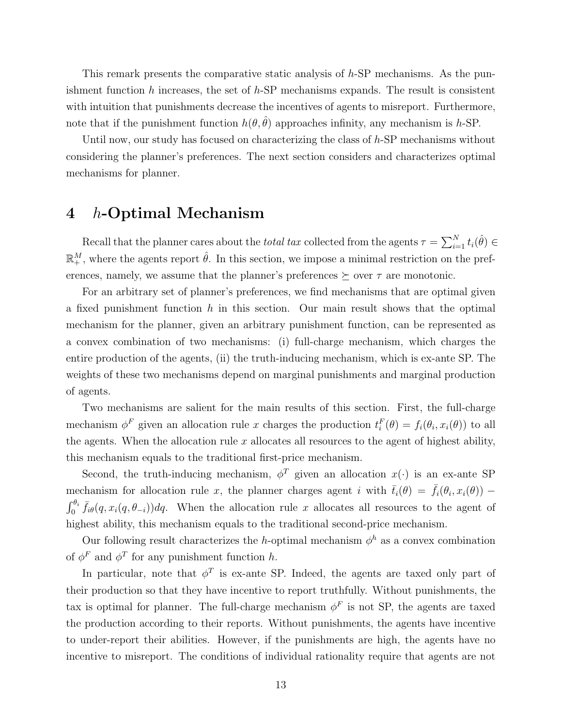This remark presents the comparative static analysis of h-SP mechanisms. As the punishment function h increases, the set of h-SP mechanisms expands. The result is consistent with intuition that punishments decrease the incentives of agents to misreport. Furthermore, note that if the punishment function  $h(\theta, \hat{\theta})$  approaches infinity, any mechanism is h-SP.

Until now, our study has focused on characterizing the class of h-SP mechanisms without considering the planner's preferences. The next section considers and characterizes optimal mechanisms for planner.

# 4 h-Optimal Mechanism

Recall that the planner cares about the *total tax* collected from the agents  $\tau = \sum_{i=1}^{N} t_i(\hat{\theta}) \in$  $\mathbb{R}^M_+$ , where the agents report  $\hat{\theta}$ . In this section, we impose a minimal restriction on the preferences, namely, we assume that the planner's preferences  $\succeq$  over  $\tau$  are monotonic.

For an arbitrary set of planner's preferences, we find mechanisms that are optimal given a fixed punishment function  $h$  in this section. Our main result shows that the optimal mechanism for the planner, given an arbitrary punishment function, can be represented as a convex combination of two mechanisms: (i) full-charge mechanism, which charges the entire production of the agents, (ii) the truth-inducing mechanism, which is ex-ante SP. The weights of these two mechanisms depend on marginal punishments and marginal production of agents.

Two mechanisms are salient for the main results of this section. First, the full-charge mechanism  $\phi^F$  given an allocation rule x charges the production  $t_i^F(\theta) = f_i(\theta_i, x_i(\theta))$  to all the agents. When the allocation rule  $x$  allocates all resources to the agent of highest ability, this mechanism equals to the traditional first-price mechanism.

Second, the truth-inducing mechanism,  $\phi^T$  given an allocation  $x(\cdot)$  is an ex-ante SP mechanism for allocation rule x, the planner charges agent i with  $\bar{t}_i(\theta) = \bar{f}_i(\theta_i, x_i(\theta))$  –  $\int_0^{\theta_i} \bar{f}_{i\theta}(q, x_i(q, \theta_{-i})) dq$ . When the allocation rule x allocates all resources to the agent of highest ability, this mechanism equals to the traditional second-price mechanism.

Our following result characterizes the h-optimal mechanism  $\phi^h$  as a convex combination of  $\phi^F$  and  $\phi^T$  for any punishment function h.

In particular, note that  $\phi^T$  is ex-ante SP. Indeed, the agents are taxed only part of their production so that they have incentive to report truthfully. Without punishments, the tax is optimal for planner. The full-charge mechanism  $\phi^F$  is not SP, the agents are taxed the production according to their reports. Without punishments, the agents have incentive to under-report their abilities. However, if the punishments are high, the agents have no incentive to misreport. The conditions of individual rationality require that agents are not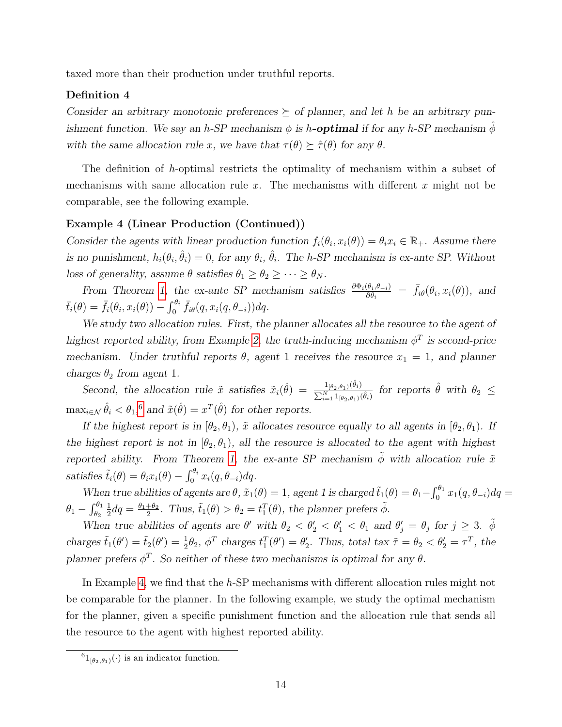taxed more than their production under truthful reports.

### Definition 4

Consider an arbitrary monotonic preferences  $\succeq$  of planner, and let h be an arbitrary punishment function. We say an h-SP mechanism  $\phi$  is h**-optimal** if for any h-SP mechanism  $\phi$ with the same allocation rule x, we have that  $\tau(\theta) \succeq \hat{\tau}(\theta)$  for any  $\theta$ .

The definition of h-optimal restricts the optimality of mechanism within a subset of mechanisms with same allocation rule  $x$ . The mechanisms with different  $x$  might not be comparable, see the following example.

### <span id="page-14-1"></span>Example 4 (Linear Production (Continued))

Consider the agents with linear production function  $f_i(\theta_i, x_i(\theta)) = \theta_i x_i \in \mathbb{R}_+$ . Assume there is no punishment,  $h_i(\theta_i, \hat{\theta}_i) = 0$ , for any  $\theta_i$ ,  $\hat{\theta}_i$ . The h-SP mechanism is ex-ante SP. Without loss of generality, assume  $\theta$  satisfies  $\theta_1 \ge \theta_2 \ge \cdots \ge \theta_N$ .

From Theorem [1,](#page-11-0) the ex-ante SP mechanism satisfies  $\frac{\partial \Phi_i(\theta_i, \theta_{-i})}{\partial \theta_i} = \bar{f}_{i\theta}(\theta_i, x_i(\theta))$ , and  $\bar{t}_i(\theta) = \bar{f}_i(\theta_i, x_i(\theta)) - \int_0^{\theta_i} \bar{f}_{i\theta}(q, x_i(q, \theta_{-i})) dq.$ 

We study two allocation rules. First, the planner allocates all the resource to the agent of highest reported ability, from Example [2,](#page-10-2) the truth-inducing mechanism  $\phi^T$  is second-price mechanism. Under truthful reports  $\theta$ , agent 1 receives the resource  $x_1 = 1$ , and planner charges  $\theta_2$  from agent 1.

Second, the allocation rule  $\tilde{x}$  satisfies  $\tilde{x}_i(\hat{\theta}) = \frac{1_{\left[\theta_2, \theta_1\right)}(\hat{\theta}_i)}{\sum_{i=1}^{N} 1_{\{i,j\}}(\hat{\theta}_i)}$  $\frac{1_{\left[\theta_2,\theta_1\right)}(\theta_i)}{\sum_{i=1}^N 1_{\left[\theta_2,\theta_1\right)}(\hat{\theta}_i)}$  for reports  $\hat{\theta}$  with  $\theta_2 \leq$  $\max_{i \in \mathcal{N}} \hat{\theta}_i < \theta_1$ <sup>[6](#page-14-0)</sup>, and  $\tilde{x}(\hat{\theta}) = x^T(\hat{\theta})$  for other reports.

If the highest report is in  $(\theta_2, \theta_1)$ ,  $\tilde{x}$  allocates resource equally to all agents in  $(\theta_2, \theta_1)$ . If the highest report is not in  $[\theta_2, \theta_1]$ , all the resource is allocated to the agent with highest reported ability. From Theorem [1,](#page-11-0) the ex-ante SP mechanism  $\tilde{\phi}$  with allocation rule  $\tilde{x}$ satisfies  $\tilde{t}_i(\theta) = \theta_i x_i(\theta) - \int_0^{\theta_i} x_i(q, \theta_{-i}) dq$ .

When true abilities of agents are  $\theta$ ,  $\tilde{x}_1(\theta) = 1$ , agent 1 is charged  $\tilde{t}_1(\theta) = \theta_1 - \int_0^{\theta_1} x_1(q, \theta_{-i}) dq =$  $\theta_1-\int_{\theta_2}^{\theta_1}$ 1  $\frac{1}{2}dq = \frac{\theta_1 + \theta_2}{2}$  $\frac{1+\theta_2}{2}$ . Thus,  $\tilde{t}_1(\theta) > \theta_2 = t_1^T(\theta)$ , the planner prefers  $\tilde{\phi}$ .

When true abilities of agents are  $\theta'$  with  $\theta_2 < \theta'_1 < \theta'_1 < \theta_1$  and  $\theta'_j = \theta_j$  for  $j \geq 3$ .  $\tilde{\phi}$ charges  $\tilde{t}_1(\theta') = \tilde{t}_2(\theta') = \frac{1}{2}\theta_2$ ,  $\phi^T$  charges  $t_1^T(\theta') = \theta'_2$ . Thus, total tax  $\tilde{\tau} = \theta_2 < \theta'_2 = \tau^T$ , the planner prefers  $\phi^T$ . So neither of these two mechanisms is optimal for any  $\theta$ .

In Example [4,](#page-14-1) we find that the  $h$ -SP mechanisms with different allocation rules might not be comparable for the planner. In the following example, we study the optimal mechanism for the planner, given a specific punishment function and the allocation rule that sends all the resource to the agent with highest reported ability.

<span id="page-14-2"></span><span id="page-14-0"></span> $^{6}1_{\lbrack \theta_{2},\theta_{1})}(\cdot)$  is an indicator function.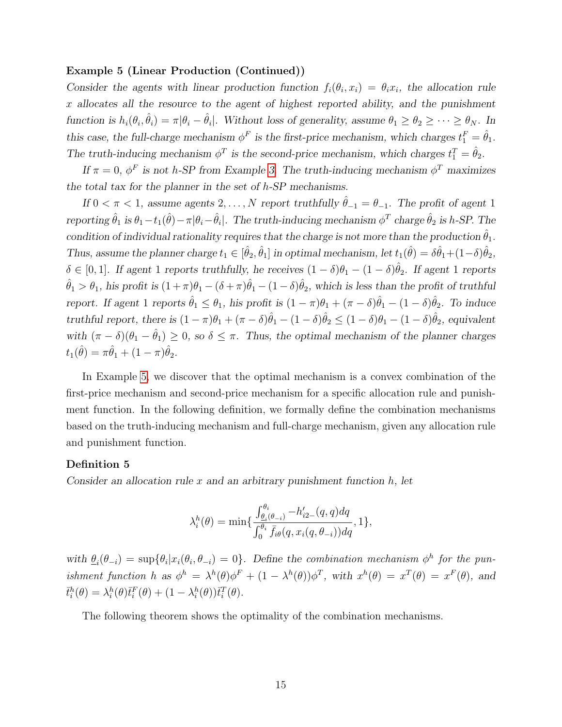#### Example 5 (Linear Production (Continued))

Consider the agents with linear production function  $f_i(\theta_i, x_i) = \theta_i x_i$ , the allocation rule x allocates all the resource to the agent of highest reported ability, and the punishment function is  $h_i(\theta_i, \hat{\theta}_i) = \pi |\theta_i - \hat{\theta}_i|$ . Without loss of generality, assume  $\theta_1 \ge \theta_2 \ge \cdots \ge \theta_N$ . In this case, the full-charge mechanism  $\phi^F$  is the first-price mechanism, which charges  $t_1^F = \hat{\theta}_1$ . The truth-inducing mechanism  $\phi^T$  is the second-price mechanism, which charges  $t_1^T = \hat{\theta}_2$ .

If  $\pi = 0$ ,  $\phi^F$  is not h-SP from Example [3.](#page-12-1) The truth-inducing mechanism  $\phi^T$  maximizes the total tax for the planner in the set of h-SP mechanisms.

If  $0 < \pi < 1$ , assume agents  $2, \ldots, N$  report truthfully  $\hat{\theta}_{-1} = \theta_{-1}$ . The profit of agent 1 reporting  $\hat{\theta}_1$  is  $\theta_1 - t_1(\hat{\theta}) - \pi |\theta_i - \hat{\theta}_i|$ . The truth-inducing mechanism  $\phi^T$  charge  $\hat{\theta}_2$  is h-SP. The condition of individual rationality requires that the charge is not more than the production  $\theta_1$ . Thus, assume the planner charge  $t_1 \in [\hat{\theta}_2, \hat{\theta}_1]$  in optimal mechanism, let  $t_1(\hat{\theta}) = \delta \hat{\theta}_1 + (1 - \delta) \hat{\theta}_2$ ,  $\delta \in [0,1]$ . If agent 1 reports truthfully, he receives  $(1-\delta)\theta_1 - (1-\delta)\hat{\theta}_2$ . If agent 1 reports  $\hat{\theta}_1 > \theta_1$ , his profit is  $(1+\pi)\theta_1 - (\delta+\pi)\hat{\theta}_1 - (1-\delta)\hat{\theta}_2$ , which is less than the profit of truthful report. If agent 1 reports  $\hat{\theta}_1 \le \theta_1$ , his profit is  $(1-\pi)\theta_1 + (\pi-\delta)\hat{\theta}_1 - (1-\delta)\hat{\theta}_2$ . To induce truthful report, there is  $(1 - \pi)\theta_1 + (\pi - \delta)\hat{\theta}_1 - (1 - \delta)\hat{\theta}_2 \leq (1 - \delta)\theta_1 - (1 - \delta)\hat{\theta}_2$ , equivalent with  $(\pi - \delta)(\theta_1 - \hat{\theta}_1) \geq 0$ , so  $\delta \leq \pi$ . Thus, the optimal mechanism of the planner charges  $t_{1}(\hat{\theta}) = \pi \hat{\theta}_{1} + (1 - \pi) \hat{\theta}_{2}.$ 

In Example [5,](#page-14-2) we discover that the optimal mechanism is a convex combination of the first-price mechanism and second-price mechanism for a specific allocation rule and punishment function. In the following definition, we formally define the combination mechanisms based on the truth-inducing mechanism and full-charge mechanism, given any allocation rule and punishment function.

#### Definition 5

Consider an allocation rule x and an arbitrary punishment function  $h$ , let

$$
\lambda_i^h(\theta) = \min\{\frac{\int_{\theta_i(\theta_{-i})}^{\theta_i} -h'_{i2-}(q, q) dq}{\int_0^{\theta_i} \bar{f}_{i\theta}(q, x_i(q, \theta_{-i})) dq}, 1\},\
$$

with  $\underline{\theta}_i(\theta_{-i}) = \sup \{ \theta_i | x_i(\theta_i, \theta_{-i}) = 0 \}.$  Define the combination mechanism  $\phi^h$  for the punishment function h as  $\phi^h = \lambda^h(\theta)\phi^F + (1 - \lambda^h(\theta))\phi^T$ , with  $x^h(\theta) = x^T(\theta) = x^F(\theta)$ , and  $\bar{t}_i^h(\theta) = \lambda_i^h(\theta)\bar{t}_i^F(\theta) + (1 - \lambda_i^h(\theta))\bar{t}_i^T(\theta).$ 

<span id="page-15-0"></span>The following theorem shows the optimality of the combination mechanisms.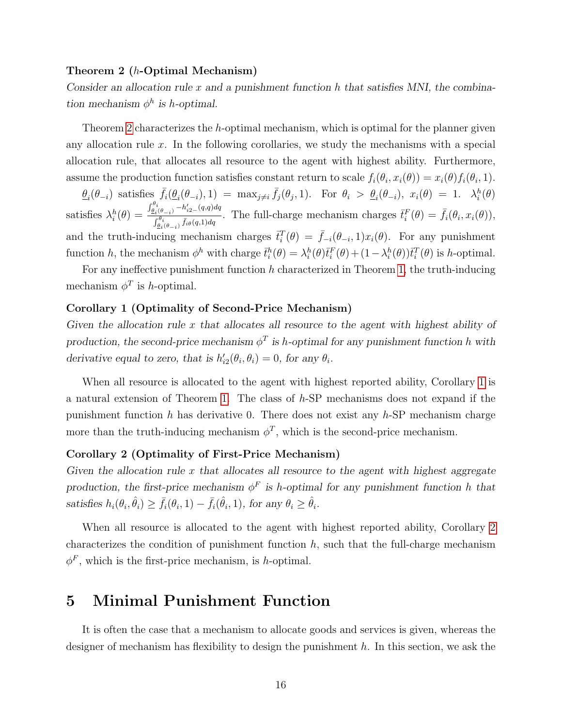#### Theorem 2 (h-Optimal Mechanism)

Consider an allocation rule x and a punishment function h that satisfies MNI, the combination mechanism  $\phi^h$  is h-optimal.

Theorem [2](#page-15-0) characterizes the h-optimal mechanism, which is optimal for the planner given any allocation rule  $x$ . In the following corollaries, we study the mechanisms with a special allocation rule, that allocates all resource to the agent with highest ability. Furthermore, assume the production function satisfies constant return to scale  $f_i(\theta_i, x_i(\theta)) = x_i(\theta) f_i(\theta_i, 1)$ .

 $\underline{\theta}_i(\theta_{-i})$  satisfies  $\bar{f}_i(\underline{\theta}_i(\theta_{-i}), 1) = \max_{j \neq i} \bar{f}_j(\theta_j, 1)$ . For  $\theta_i > \underline{\theta}_i(\theta_{-i}), x_i(\theta) = 1$ .  $\lambda_i^h(\theta)$ satisfies  $\lambda_i^h(\theta) =$  $\int_{\underline{\theta}_i}^{\theta_i}$ <sub>( $\theta_{-i}$ )</sub>  $-h'_{i2-}(q,q) dq$  $\overline{f_{\theta_i(\theta_{-i})}^{i(\theta_{-i})}}^{\overline{\theta_i}(-i)-n_{i2}-(q,q)dq}$ . The full-charge mechanism charges  $\overline{t_i}^F(\theta) = \overline{f_i}(\theta_i, x_i(\theta)),$ and the truth-inducing mechanism charges  $\bar{t}_i^T(\theta) = \bar{f}_{-i}(\theta_{-i}, 1)x_i(\theta)$ . For any punishment function h, the mechanism  $\phi^h$  with charge  $\bar{t}_i^h(\theta) = \lambda_i^h(\theta)\bar{t}_i^F(\theta) + (1 - \lambda_i^h(\theta))\bar{t}_i^T(\theta)$  is h-optimal.

For any ineffective punishment function  $h$  characterized in Theorem [1,](#page-11-0) the truth-inducing mechanism  $\phi^T$  is *h*-optimal.

# <span id="page-16-0"></span>Corollary 1 (Optimality of Second-Price Mechanism)

Given the allocation rule  $x$  that allocates all resource to the agent with highest ability of production, the second-price mechanism  $\phi^T$  is h-optimal for any punishment function h with derivative equal to zero, that is  $h'_{i2}(\theta_i, \theta_i) = 0$ , for any  $\theta_i$ .

When all resource is allocated to the agent with highest reported ability, Corollary [1](#page-16-0) is a natural extension of Theorem [1.](#page-11-0) The class of h-SP mechanisms does not expand if the punishment function  $h$  has derivative 0. There does not exist any  $h$ -SP mechanism charge more than the truth-inducing mechanism  $\phi^T$ , which is the second-price mechanism.

### <span id="page-16-1"></span>Corollary 2 (Optimality of First-Price Mechanism)

Given the allocation rule  $x$  that allocates all resource to the agent with highest aggregate production, the first-price mechanism  $\phi^F$  is h-optimal for any punishment function h that satisfies  $h_i(\theta_i, \hat{\theta}_i) \ge \bar{f}_i(\theta_i, 1) - \bar{f}_i(\hat{\theta}_i, 1)$ , for any  $\theta_i \ge \hat{\theta}_i$ .

When all resource is allocated to the agent with highest reported ability, Corollary [2](#page-16-1) characterizes the condition of punishment function  $h$ , such that the full-charge mechanism  $\phi^F$ , which is the first-price mechanism, is *h*-optimal.

# 5 Minimal Punishment Function

It is often the case that a mechanism to allocate goods and services is given, whereas the designer of mechanism has flexibility to design the punishment  $h$ . In this section, we ask the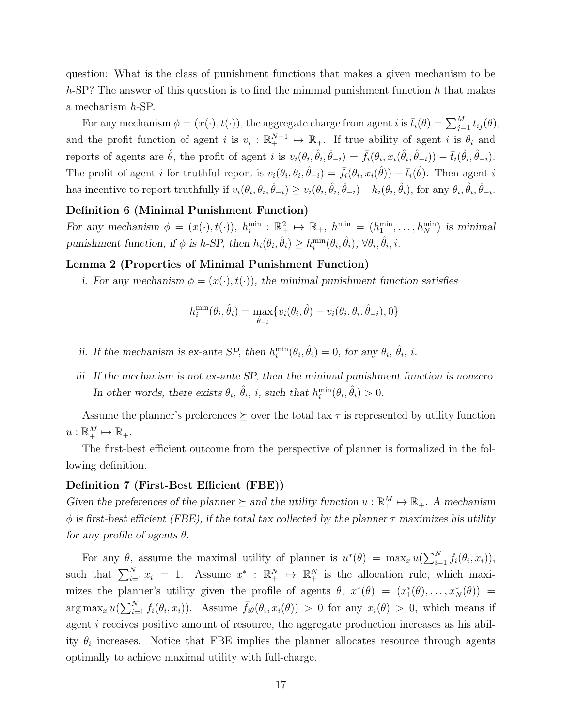question: What is the class of punishment functions that makes a given mechanism to be  $h$ -SP? The answer of this question is to find the minimal punishment function h that makes a mechanism h-SP.

For any mechanism  $\phi = (x(\cdot), t(\cdot))$ , the aggregate charge from agent i is  $\bar{t}_i(\theta) = \sum_{j=1}^M t_{ij}(\theta)$ , and the profit function of agent i is  $v_i : \mathbb{R}^{N+1}_+ \mapsto \mathbb{R}_+$ . If true ability of agent i is  $\theta_i$  and reports of agents are  $\hat{\theta}$ , the profit of agent i is  $v_i(\theta_i, \hat{\theta}_i, \hat{\theta}_{-i}) = \bar{f}_i(\theta_i, x_i(\hat{\theta}_i, \hat{\theta}_{-i})) - \bar{t}_i(\hat{\theta}_i, \hat{\theta}_{-i}).$ The profit of agent *i* for truthful report is  $v_i(\theta_i, \theta_i, \hat{\theta}_{-i}) = \bar{f}_i(\theta_i, x_i(\hat{\theta})) - \bar{t}_i(\hat{\theta})$ . Then agent *i* has incentive to report truthfully if  $v_i(\theta_i, \theta_i, \hat{\theta}_{-i}) \ge v_i(\theta_i, \hat{\theta}_i, \hat{\theta}_{-i}) - h_i(\theta_i, \hat{\theta}_i)$ , for any  $\theta_i, \hat{\theta}_i, \hat{\theta}_{-i}$ .

# <span id="page-17-2"></span>Definition 6 (Minimal Punishment Function)

For any mechanism  $\phi = (x(\cdot), t(\cdot)), h_i^{\min} : \mathbb{R}_+^2 \mapsto \mathbb{R}_+, h^{\min} = (h_1^{\min}, \dots, h_N^{\min})$  is minimal punishment function, if  $\phi$  is h-SP, then  $h_i(\theta_i, \hat{\theta}_i) \geq h_i^{\min}(\theta_i, \hat{\theta}_i)$ ,  $\forall \theta_i, \hat{\theta}_i, i$ .

#### <span id="page-17-0"></span>Lemma 2 (Properties of Minimal Punishment Function)

i. For any mechanism  $\phi = (x(\cdot), t(\cdot))$ , the minimal punishment function satisfies

$$
h_i^{\min}(\theta_i, \hat{\theta}_i) = \max_{\hat{\theta}_{-i}} \{v_i(\theta_i, \hat{\theta}) - v_i(\theta_i, \theta_i, \hat{\theta}_{-i}), 0\}
$$

- ii. If the mechanism is ex-ante SP, then  $h_i^{\min}(\theta_i, \hat{\theta}_i) = 0$ , for any  $\theta_i$ ,  $\hat{\theta}_i$ , i.
- iii. If the mechanism is not ex-ante SP, then the minimal punishment function is nonzero. In other words, there exists  $\theta_i$ ,  $\hat{\theta}_i$ , i, such that  $h_i^{\min}(\theta_i, \hat{\theta}_i) > 0$ .

Assume the planner's preferences  $\succeq$  over the total tax  $\tau$  is represented by utility function  $u: \mathbb{R}_+^M \mapsto \mathbb{R}_+.$ 

The first-best efficient outcome from the perspective of planner is formalized in the following definition.

#### Definition 7 (First-Best Efficient (FBE))

Given the preferences of the planner  $\succeq$  and the utility function  $u : \mathbb{R}^M_+ \mapsto \mathbb{R}_+$ . A mechanism  $\phi$  is first-best efficient (FBE), if the total tax collected by the planner  $\tau$  maximizes his utility for any profile of agents  $\theta$ .

<span id="page-17-1"></span>For any  $\theta$ , assume the maximal utility of planner is  $u^*(\theta) = \max_x u(\sum_{i=1}^N f_i(\theta_i, x_i)),$ such that  $\sum_{i=1}^{N} x_i = 1$ . Assume  $x^* : \mathbb{R}_+^N \mapsto \mathbb{R}_+^N$  is the allocation rule, which maximizes the planner's utility given the profile of agents  $\theta$ ,  $x^*(\theta) = (x_1^*(\theta), \dots, x_N^*(\theta)) =$  $\arg \max_x u(\sum_{i=1}^N f_i(\theta_i, x_i))$ . Assume  $\bar{f}_{i\theta}(\theta_i, x_i(\theta)) > 0$  for any  $x_i(\theta) > 0$ , which means if agent *i* receives positive amount of resource, the aggregate production increases as his ability  $\theta_i$  increases. Notice that FBE implies the planner allocates resource through agents optimally to achieve maximal utility with full-charge.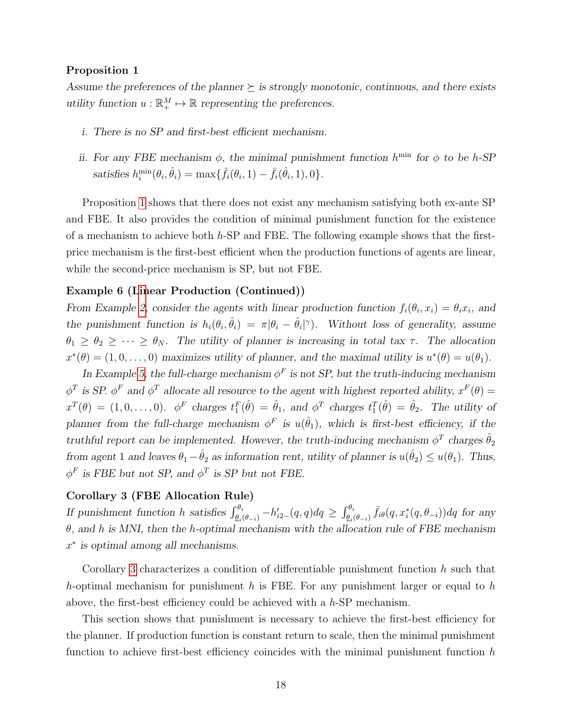#### Proposition 1

Assume the preferences of the planner  $\succeq$  is strongly monotonic, continuous, and there exists utility function  $u : \mathbb{R}_+^M \mapsto \mathbb{R}$  representing the preferences.

- i. There is no SP and first-best efficient mechanism.
- ii. For any FBE mechanism  $\phi$ , the minimal punishment function  $h^{\min}$  for  $\phi$  to be h-SP satisfies  $h_i^{\min}(\theta_i, \hat{\theta}_i) = \max{\{\bar{f}_i(\theta_i, 1) - \bar{f}_i(\hat{\theta}_i, 1), 0\}}.$

Proposition [1](#page-17-1) shows that there does not exist any mechanism satisfying both ex-ante SP and FBE. It also provides the condition of minimal punishment function for the existence of a mechanism to achieve both  $h$ -SP and FBE. The following example shows that the firstprice mechanism is the first-best efficient when the production functions of agents are linear, while the second-price mechanism is SP, but not FBE.

### Example 6 ([Lin](#page-10-2)ear Production (Continued))

From Example 2, consider the agents with linear production function  $f_i(\theta_i, x_i) = \theta_i x_i$ , and the punishment function is  $h_i(\theta_i, \hat{\theta}_i) = \pi |\theta_i - \hat{\theta}_i|^{\gamma}$ . Without loss of generality, assume  $\theta_1 \ge \theta_2 \ge \cdots \ge \theta_N$ . The utility of planner is increasing in total tax  $\tau$ . The allocation  $x^*(\theta) = (1, 0, \ldots, 0)$  maximizes utility of planner, and the maximal utility is  $u^*(\theta) = u(\theta_1)$ .

In Example [5,](#page-14-2) the full-charge mechanism  $\phi^F$  is not SP, but the truth-inducing mechanism  $\phi^T$  is SP.  $\phi^F$  and  $\phi^T$  allocate all resource to the agent with highest reported ability,  $x^F(\theta) =$  $x^T(\theta) = (1, 0, \ldots, 0)$ .  $\phi^F$  charges  $t_1^F(\hat{\theta}) = \hat{\theta}_1$ , and  $\phi^T$  charges  $t_1^T(\hat{\theta}) = \hat{\theta}_2$ . The utility of planner from the full-charge mechanism  $\phi^F$  is  $u(\hat{\theta}_1)$ , which is first-best efficiency, if the truthful report can be implemented. However, the truth-inducing mechanism  $\phi^T$  charges  $\hat{\theta}_2$ from agent 1 and leaves  $\theta_1 - \hat{\theta}_2$  as information rent, utility of planner is  $u(\hat{\theta}_2) \leq u(\theta_1)$ . Thus,  $\phi^F$  is FBE but not SP, and  $\phi^T$  is SP but not FBE.

## <span id="page-18-0"></span>Corollary 3 (FBE Allocation Rule)

If punishment function h satisfies  $\int_{\theta_i(\theta_{-i})}^{\theta_i} -h'_{i2-}(q,q)dq \ge \int_{\theta_i(\theta_{-i})}^{\theta_i} \bar{f}_{i\theta}(q,x_i^*(q,\theta_{-i}))dq$  for any  $\theta$ , and h is MNI, then the h-optimal mechanism with the allocation rule of FBE mechanism  $x^*$  is optimal among all mechanisms.

Corollary [3](#page-18-0) characterizes a condition of differentiable punishment function  $h$  such that h-optimal mechanism for punishment h is FBE. For any punishment larger or equal to h above, the first-best efficiency could be achieved with a  $h$ -SP mechanism.

This section shows that punishment is necessary to achieve the first-best efficiency for the planner. If production function is constant return to scale, then the minimal punishment function to achieve first-best efficiency coincides with the minimal punishment function  $h$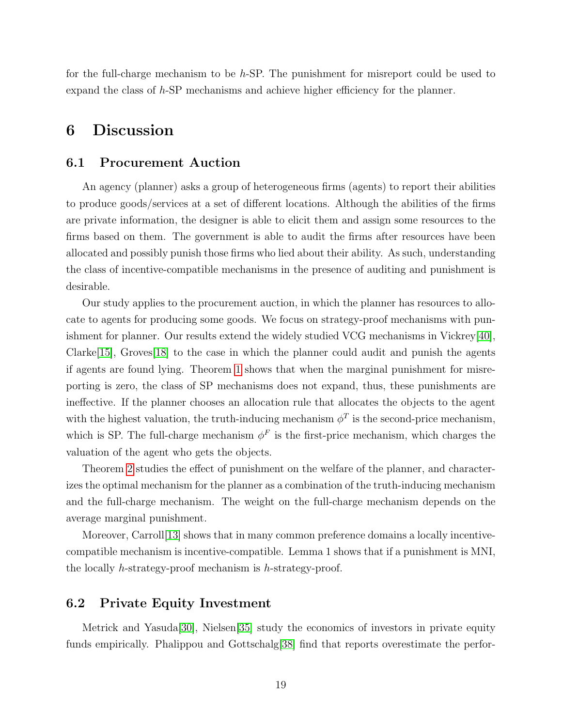for the full-charge mechanism to be  $h$ -SP. The punishment for misreport could be used to expand the class of h-SP mechanisms and achieve higher efficiency for the planner.

# 6 Discussion

## 6.1 Procurement Auction

An agency (planner) asks a group of heterogeneous firms (agents) to report their abilities to produce goods/services at a set of different locations. Although the abilities of the firms are private information, the designer is able to elicit them and assign some resources to the firms based on them. The government is able to audit the firms after resources have been allocated and possibly punish those firms who lied about their ability. As such, understanding the class of incentive-compatible mechanisms in the presence of auditing and punishment is desirable.

Our study applies to the procurement auction, in which the planner has resources to allocate to agents for producing some goods. We focus on strategy-proof mechanisms with punishment for planner. Our results extend the widely studied VCG mechanisms in Vickrey[\[40\]](#page-30-1), Clarke<sup>[\[15\]](#page-29-0)</sup>, Groves<sup>[\[18\]](#page-29-1)</sup> to the case in which the planner could audit and punish the agents if agents are found lying. Theorem [1](#page-11-0) shows that when the marginal punishment for misreporting is zero, the class of SP mechanisms does not expand, thus, these punishments are ineffective. If the planner chooses an allocation rule that allocates the objects to the agent with the highest valuation, the truth-inducing mechanism  $\phi^T$  is the second-price mechanism, which is SP. The full-charge mechanism  $\phi^F$  is the first-price mechanism, which charges the valuation of the agent who gets the objects.

Theorem [2](#page-15-0) studies the effect of punishment on the welfare of the planner, and characterizes the optimal mechanism for the planner as a combination of the truth-inducing mechanism and the full-charge mechanism. The weight on the full-charge mechanism depends on the average marginal punishment.

Moreover, Carroll[\[13\]](#page-28-12) shows that in many common preference domains a locally incentivecompatible mechanism is incentive-compatible. Lemma 1 shows that if a punishment is MNI, the locally h-strategy-proof mechanism is h-strategy-proof.

## 6.2 Private Equity Investment

Metrick and Yasuda[\[30\]](#page-30-9), Nielsen[\[35\]](#page-30-10) study the economics of investors in private equity funds empirically. Phalippou and Gottschalg 38 find that reports overestimate the perfor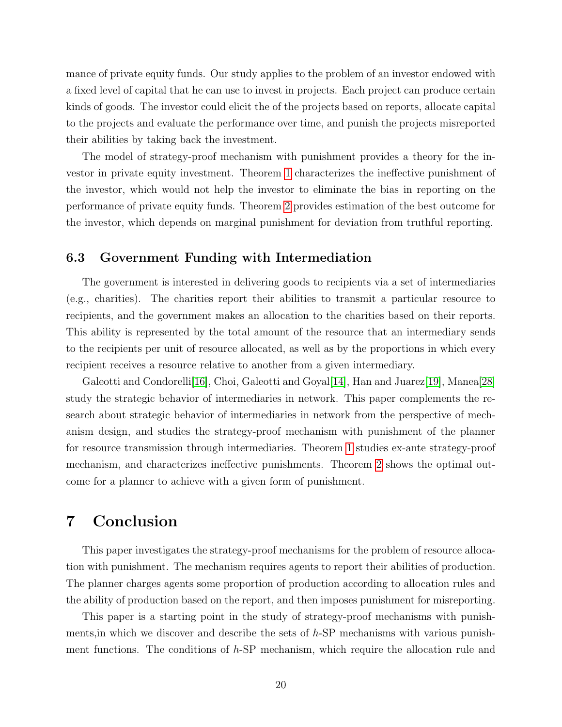mance of private equity funds. Our study applies to the problem of an investor endowed with a fixed level of capital that he can use to invest in projects. Each project can produce certain kinds of goods. The investor could elicit the of the projects based on reports, allocate capital to the projects and evaluate the performance over time, and punish the projects misreported their abilities by taking back the investment.

The model of strategy-proof mechanism with punishment provides a theory for the investor in private equity investment. Theorem [1](#page-11-0) characterizes the ineffective punishment of the investor, which would not help the investor to eliminate the bias in reporting on the performance of private equity funds. Theorem [2](#page-15-0) provides estimation of the best outcome for the investor, which depends on marginal punishment for deviation from truthful reporting.

## 6.3 Government Funding with Intermediation

The government is interested in delivering goods to recipients via a set of intermediaries (e.g., charities). The charities report their abilities to transmit a particular resource to recipients, and the government makes an allocation to the charities based on their reports. This ability is represented by the total amount of the resource that an intermediary sends to the recipients per unit of resource allocated, as well as by the proportions in which every recipient receives a resource relative to another from a given intermediary.

Galeotti and Condorelli<sup>[\[16\]](#page-29-11)</sup>, Choi, Galeotti and Goyal<sup>[\[14\]](#page-29-12)</sup>, Han and Juarez<sup>[\[19\]](#page-29-13)</sup>, Manea<sup>[\[28\]](#page-30-12)</sup> study the strategic behavior of intermediaries in network. This paper complements the research about strategic behavior of intermediaries in network from the perspective of mechanism design, and studies the strategy-proof mechanism with punishment of the planner for resource transmission through intermediaries. Theorem [1](#page-11-0) studies ex-ante strategy-proof mechanism, and characterizes ineffective punishments. Theorem [2](#page-15-0) shows the optimal outcome for a planner to achieve with a given form of punishment.

# 7 Conclusion

This paper investigates the strategy-proof mechanisms for the problem of resource allocation with punishment. The mechanism requires agents to report their abilities of production. The planner charges agents some proportion of production according to allocation rules and the ability of production based on the report, and then imposes punishment for misreporting.

This paper is a starting point in the study of strategy-proof mechanisms with punishments, in which we discover and describe the sets of  $h$ -SP mechanisms with various punishment functions. The conditions of h-SP mechanism, which require the allocation rule and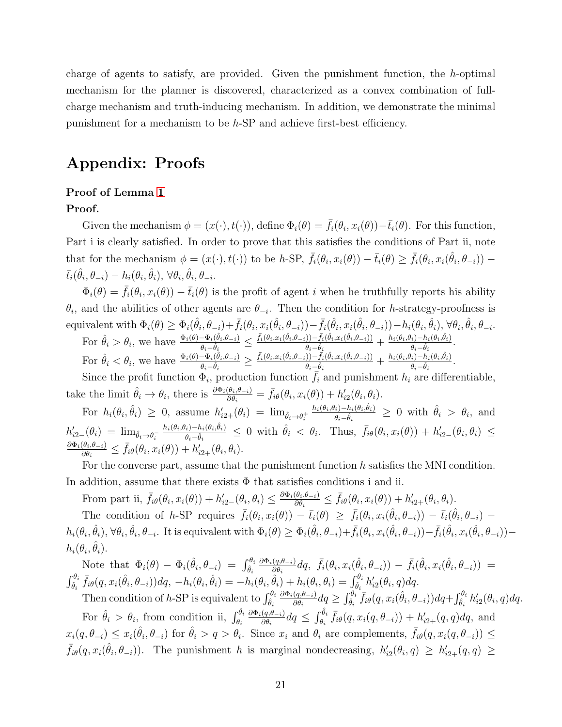charge of agents to satisfy, are provided. Given the punishment function, the  $h$ -optimal mechanism for the planner is discovered, characterized as a convex combination of fullcharge mechanism and truth-inducing mechanism. In addition, we demonstrate the minimal punishment for a mechanism to be h-SP and achieve first-best efficiency.

# Appendix: Proofs

### Proof of Lemma [1](#page-10-0)

### Proof.

Given the mechanism  $\phi = (x(\cdot), t(\cdot))$ , define  $\Phi_i(\theta) = \bar{f}_i(\theta_i, x_i(\theta)) - \bar{t}_i(\theta)$ . For this function, Part i is clearly satisfied. In order to prove that this satisfies the conditions of Part ii, note that for the mechanism  $\phi = (x(\cdot), t(\cdot))$  to be h-SP,  $\bar{f}_i(\theta_i, x_i(\theta)) - \bar{t}_i(\theta) \geq \bar{f}_i(\theta_i, x_i(\hat{\theta}_i, \theta_{-i}))$  $\bar{t}_i(\hat{\theta}_i, \theta_{-i}) - h_i(\theta_i, \hat{\theta}_i), \ \forall \theta_i, \hat{\theta}_i, \theta_{-i}.$ 

 $\Phi_i(\theta) = \bar{f}_i(\theta_i, x_i(\theta)) - \bar{t}_i(\theta)$  is the profit of agent i when he truthfully reports his ability  $\theta_i$ , and the abilities of other agents are  $\theta_{-i}$ . Then the condition for h-strategy-proofness is  $\text{ equivalent with } \Phi_i(\theta) \geq \Phi_i(\hat{\theta}_i, \theta_{-i}) + \bar{f}_i(\theta_i, x_i(\hat{\theta}_i, \theta_{-i})) - \bar{f}_i(\hat{\theta}_i, x_i(\hat{\theta}_i, \theta_{-i})) - h_i(\theta_i, \hat{\theta}_i), \forall \theta_i, \hat{\theta}_i, \theta_{-i}.$ 

For  $\hat{\theta}_i > \theta_i$ , we have  $\frac{\Phi_i(\theta) - \Phi_i(\hat{\theta}_i, \theta_{-i})}{\theta_i - \hat{\theta}_i}$  $\frac{-\Phi_i(\hat{\theta}_i,\theta_{-i})}{\theta_i-\hat{\theta}_i}\leq \frac{\bar{f}_i(\theta_i,x_i(\hat{\theta}_i,\theta_{-i}))-\bar{f}_i(\hat{\theta}_i,x_i(\hat{\theta}_i,\theta_{-i}))}{\theta_i-\hat{\theta}_i}$  $\frac{\partial \tilde{b}_j - \tilde{f}_i(\hat{\theta}_i, x_i(\hat{\theta}_i, \theta_{-i}))}{\theta_i - \hat{\theta}_i} + \frac{h_i(\theta_i, \theta_i) - h_i(\theta_i, \hat{\theta}_i)}{\theta_i - \hat{\theta}_i}$  $\frac{\theta_i)-h_i(\theta_i,\theta_i)}{\theta_i-\hat{\theta}_i}.$ For  $\hat{\theta}_i < \theta_i$ , we have  $\frac{\Phi_i(\theta) - \Phi_i(\hat{\theta}_i, \theta_{-i})}{\theta_i - \hat{\theta}_i}$  $\frac{-\Phi_i(\hat{\theta}_i,\theta_{-i})}{\theta_i-\hat{\theta}_i}\geq \frac{\bar{f}_i(\theta_i,x_i(\hat{\theta}_i,\theta_{-i}))-\bar{f}_i(\hat{\theta}_i,x_i(\hat{\theta}_i,\theta_{-i}))}{\theta_i-\hat{\theta}_i}$  $\frac{\partial \tilde{b}_j - \tilde{f}_i(\hat{\theta}_i, x_i(\hat{\theta}_i, \theta_{-i}))}{\theta_i - \hat{\theta}_i} + \frac{h_i(\theta_i, \theta_i) - h_i(\theta_i, \hat{\theta}_i)}{\theta_i - \hat{\theta}_i}$  $\frac{\theta_i)-h_i(\theta_i,\theta_i)}{\theta_i-\hat{\theta}_i}.$ 

Since the profit function  $\Phi_i$ , production function  $f_i$  and punishment  $h_i$  are differentiable, take the limit  $\hat{\theta}_i \to \theta_i$ , there is  $\frac{\partial \Phi_i(\theta_i, \theta_{-i})}{\partial \theta_i} = \bar{f}_{i\theta}(\theta_i, x_i(\theta)) + h'_{i2}(\theta_i, \theta_i)$ .

For  $h_i(\theta_i, \hat{\theta}_i) \geq 0$ , assume  $h'_{i2+}(\theta_i) = \lim_{\hat{\theta}_i \to \theta_i^+}$  $h_i(\theta_i, \theta_i) - h_i(\theta_i, \hat{\theta}_i)$  $\frac{\theta_i - h_i(\theta_i, \hat{\theta}_i)}{\theta_i - \hat{\theta}_i} \geq 0$  with  $\hat{\theta}_i > \theta_i$ , and  $h'_{i2-}(\theta_i) = \lim_{\hat{\theta}_i \to \theta_i^-}$  $h_i(\theta_i, \theta_i) - h_i(\theta_i, \hat{\theta}_i)$  $\frac{\theta_i-h_i(\theta_i,\tilde{\theta}_i)}{\theta_i-\tilde{\theta}_i} \leq 0$  with  $\hat{\theta}_i < \theta_i$ . Thus,  $\bar{f}_{i\theta}(\theta_i,x_i(\theta)) + h'_{i2-}(\theta_i,\theta_i) \leq$  $\partial \Phi_i(\theta_i,\!\theta_{-i})$  $\frac{\theta_i, \theta_{-i}}{\partial \theta_i} \leq \bar{f}_{i\theta}(\theta_i, x_i(\theta)) + h'_{i2+}(\theta_i, \theta_i).$ 

For the converse part, assume that the punishment function  $h$  satisfies the MNI condition. In addition, assume that there exists  $\Phi$  that satisfies conditions i and ii.

From part ii,  $\bar{f}_{i\theta}(\theta_i, x_i(\theta)) + h'_{i2}(\theta_i, \theta_i) \leq \frac{\partial \Phi_i(\theta_i, \theta_{-i})}{\partial \theta_i}$  $\frac{\partial(\theta_i,\theta_{-i})}{\partial\theta_i} \leq \bar{f}_{i\theta}(\theta_i,x_i(\theta)) + h'_{i2+}(\theta_i,\theta_i).$ The condition of h-SP requires  $\bar{f}_i(\theta_i, x_i(\theta)) - \bar{t}_i(\theta) \geq \bar{f}_i(\theta_i, x_i(\hat{\theta}_i, \theta_{-i})) - \bar{t}_i(\hat{\theta}_i, \theta_{-i})$  $h_i(\theta_i, \hat{\theta}_i), \forall \theta_i, \hat{\theta}_i, \theta_{-i}$ . It is equivalent with  $\Phi_i(\theta) \geq \Phi_i(\hat{\theta}_i, \theta_{-i}) + \bar{f}_i(\theta_i, x_i(\hat{\theta}_i, \theta_{-i})) - \bar{f}_i(\hat{\theta}_i, x_i(\hat{\theta}_i, \theta_{-i}))$  $h_i(\theta_i, \hat{\theta}_i)$ .

Note that  $\Phi_i(\theta) - \Phi_i(\hat{\theta}_i, \theta_{-i}) = \int_{\hat{\theta}_i}^{\theta_i}$  $\partial\Phi_i(q,\theta_{-i})$  $\frac{(q,\theta_{-i})}{\partial \theta_i} dq,~~\bar{f}_i(\theta_i, x_i(\hat{\theta}_i, \theta_{-i})) - \bar{f}_i(\hat{\theta}_i, x_i(\hat{\theta}_i, \theta_{-i})) \;=\;$  $\int_{\hat{\theta}_i}^{\theta_i} \bar{f}_{i\theta}(q, x_i(\hat{\theta}_i, \theta_{-i})) dq, -h_i(\theta_i, \hat{\theta}_i) = -h_i(\theta_i, \hat{\theta}_i) + h_i(\theta_i, \theta_i) = \int_{\hat{\theta}_i}^{\theta_i} h'_{i2}(\theta_i, q) dq.$ Then condition of h-SP is equivalent to  $\int_{\hat{\theta}_i}^{\theta_i}$  $\partial \Phi_i(q, \theta_{-i})$  $\frac{(q,\theta_{-i})}{\partial \theta_i} dq \geq \int_{\hat{\theta}_i}^{\theta_i} \overline{f}_{i\theta}(q,x_i(\hat{\theta}_i,\theta_{-i})) dq + \int_{\hat{\theta}_i}^{\theta_i} h'_{i2}(\theta_i,q) dq.$ 

For  $\hat{\theta}_i > \theta_i$ , from condition ii,  $\int_{\theta_i}^{\hat{\theta}_i}$  $\partial \Phi_i(q, \theta_{-i})$  $\frac{(q, \theta_{-i})}{\partial \theta_i} dq \leq \int_{\theta_i}^{\hat{\theta}_i} \bar{f}_{i\theta}(q, x_i(q, \theta_{-i})) + h'_{i2+}(q, q) dq$ , and  $x_i(q, \theta_{-i}) \leq x_i(\hat{\theta}_i, \theta_{-i})$  for  $\hat{\theta}_i > q > \theta_i$ . Since  $x_i$  and  $\theta_i$  are complements,  $\bar{f}_{i\theta}(q, x_i(q, \theta_{-i})) \leq$  $\bar{f}_{i\theta}(q, x_i(\hat{\theta}_i, \theta_{-i}))$ . The punishment h is marginal nondecreasing,  $h'_{i2}(\theta_i, q) \geq h'_{i2+}(q, q) \geq$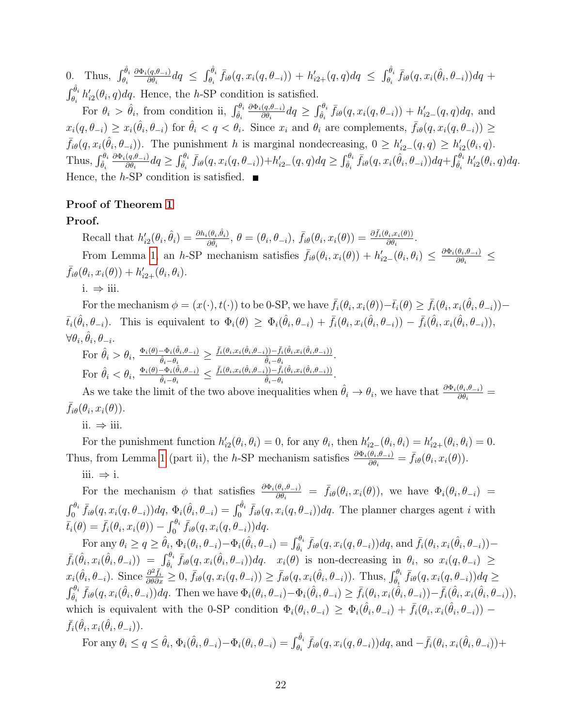0. Thus,  $\int_{\theta_i}^{\hat{\theta}_i}$  $\partial \Phi_i(q, \theta_{-i})$  $\frac{(q,\theta_{-i})}{\partial \theta_i} dq \leq \int_{\theta_i}^{\hat{\theta}_i} \bar{f}_{i\theta}(q,x_i(q,\theta_{-i})) + h'_{i2+}(q,q) dq \leq \int_{\theta_i}^{\hat{\theta}_i} \bar{f}_{i\theta}(q,x_i(\hat{\theta}_i,\theta_{-i})) dq +$  $\int_{\theta_i}^{\hat{\theta}_i} h'_{i2}(\theta_i, q) dq$ . Hence, the h-SP condition is satisfied.

For  $\theta_i > \hat{\theta}_i$ , from condition ii,  $\int_{\hat{\theta}_i}^{\theta_i}$  $\partial\Phi_i(q,\theta_{-i})$  $\frac{(q,\theta_{-i})}{\partial \theta_i} dq \geq \int_{\hat{\theta}_i}^{\theta_i} \bar{f}_{i\theta}(q, x_i(q, \theta_{-i})) + h'_{i2-}(q,q) dq$ , and  $x_i(q, \theta_{-i}) \geq x_i(\hat{\theta}_i, \theta_{-i})$  for  $\hat{\theta}_i < q < \theta_i$ . Since  $x_i$  and  $\theta_i$  are complements,  $\bar{f}_{i\theta}(q, x_i(q, \theta_{-i})) \geq$  $\bar{f}_{i\theta}(q, x_i(\hat{\theta}_i, \theta_{-i}))$ . The punishment h is marginal nondecreasing,  $0 \geq h'_{i2}(q, q) \geq h'_{i2}(\theta_i, q)$ . Thus,  $\int_{\hat{\theta}_i}^{\theta_i}$  $\partial \Phi_i(q,\theta_{-i})$  $\frac{(q,\theta_{-i})}{\partial \theta_i} dq \geq \int_{\hat{\theta}_i}^{\theta_i} \bar{f}_{i\theta}(q, x_i(q, \theta_{-i})) + h'_{i2-}(q, q) dq \geq \int_{\hat{\theta}_i}^{\theta_i} \bar{f}_{i\theta}(q, x_i(\hat{\theta}_i, \theta_{-i})) dq + \int_{\hat{\theta}_i}^{\theta_i} h'_{i2}(\theta_i, q) dq.$ Hence, the h-SP condition is satisfied.  $\blacksquare$ 

## Proof of Theorem [1](#page-11-0)

## Proof.

Recall that  $h'_{i2}(\theta_i, \hat{\theta}_i) = \frac{\partial h_i(\theta_i, \hat{\theta}_i)}{\partial \hat{\theta}_i}$  $\frac{(\theta_i,\hat{\theta}_i)}{\partial \hat{\theta}_i},~\theta = (\theta_i,\theta_{-i}),~\bar{f}_{i\theta}(\theta_i,x_i(\theta)) = \frac{\partial \bar{f}_i(\theta_i,x_i(\theta))}{\partial \theta_i}$ From Lemma [1,](#page-10-0) an h-SP mechanism satisfies  $\bar{f}_{i\theta}(\theta_i, x_i(\theta)) + h'_{i2}(\theta_i, \theta_i) \leq \frac{\partial \Phi_i(\theta_i, \theta_{-i})}{\partial \theta_i}$  $\frac{\partial_i x_i(\theta))}{\partial \theta_i}$ .

 $\frac{\partial (\theta_i, \theta_{-i})}{\partial \theta_i} \leq$  $\bar{f}_{i\theta}(\theta_i, x_i(\theta)) + h'_{i2+}(\theta_i, \theta_i).$ 

i.  $\Rightarrow$  iii.

For the mechanism  $\phi = (x(\cdot), t(\cdot))$  to be 0-SP, we have  $\bar{f}_i(\theta_i, x_i(\theta)) - \bar{t}_i(\theta) \geq \bar{f}_i(\theta_i, x_i(\hat{\theta}_i, \theta_{-i}))$  $\bar{t}_i(\hat{\theta}_i,\theta_{-i})$ . This is equivalent to  $\Phi_i(\theta) \geq \Phi_i(\hat{\theta}_i,\theta_{-i}) + \bar{f}_i(\theta_i,x_i(\hat{\theta}_i,\theta_{-i})) - \bar{f}_i(\hat{\theta}_i,x_i(\hat{\theta}_i,\theta_{-i}))$ ,  $\forall \theta_i, \hat{\theta}_i, \theta_{-i}.$ 

For 
$$
\hat{\theta}_i > \theta_i
$$
,  $\frac{\Phi_i(\theta) - \Phi_i(\hat{\theta}_i, \theta_{-i})}{\hat{\theta}_i - \theta_i} \ge \frac{\bar{f}_i(\theta_i, x_i(\hat{\theta}_i, \theta_{-i})) - \bar{f}_i(\hat{\theta}_i, x_i(\hat{\theta}_i, \theta_{-i}))}{\hat{\theta}_i - \theta_i}$ .  
For  $\hat{\theta}_i < \theta_i$ ,  $\frac{\Phi_i(\theta) - \Phi_i(\hat{\theta}_i, \theta_{-i})}{\hat{\theta}_i - \theta_i} \le \frac{\bar{f}_i(\theta_i, x_i(\hat{\theta}_i, \theta_{-i})) - \bar{f}_i(\hat{\theta}_i, x_i(\hat{\theta}_i, \theta_{-i}))}{\hat{\theta}_i - \theta_i}$ .

For  $\vec{v}_i \leq \vec{v}_i$ ,  $\vec{\theta}_i - \vec{\theta}_i$   $\leq \vec{\theta}_i - \vec{\theta}_i$   $\vec{\theta}_i - \vec{\theta}_i$ .<br>As we take the limit of the two above inequalities when  $\hat{\theta}_i \rightarrow \theta_i$ , we have that  $\frac{\partial \Phi_i(\theta_i, \theta_{-i})}{\partial \theta_i}$  $\bar{f}_{i\theta}(\theta_i, x_i(\theta)).$ 

ii. ⇒ iii.

For the punishment function  $h'_{i2}(\theta_i, \theta_i) = 0$ , for any  $\theta_i$ , then  $h'_{i2-}(\theta_i, \theta_i) = h'_{i2+}(\theta_i, \theta_i) = 0$ . Thus, from Lemma [1](#page-10-0) (part ii), the h-SP mechanism satisfies  $\frac{\partial \Phi_i(\theta_i, \theta_{-i})}{\partial \theta_i} = \bar{f}_{i\theta}(\theta_i, x_i(\theta)).$ iii. ⇒ i.

For the mechanism  $\phi$  that satisfies  $\frac{\partial \Phi_i(\theta_i, \theta_{-i})}{\partial \theta_i} = \bar{f}_{i\theta}(\theta_i, x_i(\theta))$ , we have  $\Phi_i(\theta_i, \theta_{-i})$  $\int_0^{\theta_i} \bar{f}_{i\theta}(q, x_i(q, \theta_{-i})) dq$ ,  $\Phi_i(\hat{\theta}_i, \theta_{-i}) = \int_0^{\hat{\theta}_i} \bar{f}_{i\theta}(q, x_i(q, \theta_{-i})) dq$ . The planner charges agent *i* with  $\bar{t}_i(\theta) = \bar{f}_i(\theta_i, x_i(\theta)) - \int_0^{\theta_i} \bar{f}_{i\theta}(q, x_i(q, \theta_{-i})) dq.$ 

For any  $\theta_i \ge q \ge \hat{\theta}_i, \Phi_i(\theta_i, \theta_{-i}) - \Phi_i(\hat{\theta}_i, \theta_{-i}) = \int_{\hat{\theta}_i}^{\theta_i} \bar{f}_{i\theta}(q, x_i(q, \theta_{-i})) dq$ , and  $\bar{f}_i(\theta_i, x_i(\hat{\theta}_i, \theta_{-i})) \bar{f}_i(\hat{\theta}_i, x_i(\hat{\theta}_i, \theta_{-i})) = \int_{\hat{\theta}_i}^{\theta_i} \bar{f}_{i\theta}(q, x_i(\hat{\theta}_i, \theta_{-i})) dq$ .  $x_i(\theta)$  is non-decreasing in  $\theta_i$ , so  $x_i(q, \theta_{-i}) \geq$  $x_i(\hat{\theta}_i, \theta_{-i})$ . Since  $\frac{\partial^2 \bar{f}_i}{\partial \theta \partial x} \geq 0$ ,  $\bar{f}_{i\theta}(q, x_i(q, \theta_{-i})) \geq \bar{f}_{i\theta}(q, x_i(\hat{\theta}_i, \theta_{-i}))$ . Thus,  $\int_{\hat{\theta}_i}^{\theta_i} \bar{f}_{i\theta}(q, x_i(q, \theta_{-i})) dq \geq$  $\int_{\hat{\theta}_i}^{\theta_i} \bar{f}_{i\theta}(q, x_i(\hat{\theta}_i, \theta_{-i})) dq$ . Then we have  $\Phi_i(\theta_i, \theta_{-i}) - \Phi_i(\hat{\theta}_i, \theta_{-i}) \geq \bar{f}_i(\theta_i, x_i(\hat{\theta}_i, \theta_{-i})) - \bar{f}_i(\hat{\theta}_i, x_i(\hat{\theta}_i, \theta_{-i})),$ which is equivalent with the 0-SP condition  $\Phi_i(\theta_i, \theta_{-i}) \geq \Phi_i(\hat{\theta}_i, \theta_{-i}) + \bar{f}_i(\theta_i, x_i(\hat{\theta}_i, \theta_{-i}))$  $\bar{f}_i(\hat{\theta}_i, x_i(\hat{\theta}_i, \theta_{-i})).$ 

For any  $\theta_i \le q \le \hat{\theta}_i$ ,  $\Phi_i(\hat{\theta}_i, \theta_{-i}) - \Phi_i(\theta_i, \theta_{-i}) = \int_{\theta_i}^{\hat{\theta}_i} \bar{f}_{i\theta}(q, x_i(q, \theta_{-i})) dq$ , and  $-\bar{f}_i(\theta_i, x_i(\hat{\theta}_i, \theta_{-i})) +$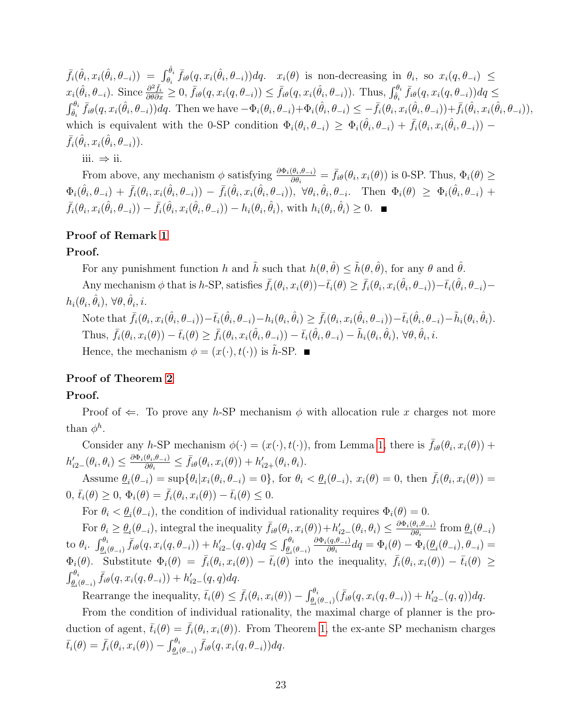$\bar{f}_i(\hat{\theta}_i, x_i(\hat{\theta}_i, \theta_{-i})) = \int_{\theta_i}^{\hat{\theta}_i} \bar{f}_{i\theta}(q, x_i(\hat{\theta}_i, \theta_{-i})) dq$ .  $x_i(\theta)$  is non-decreasing in  $\theta_i$ , so  $x_i(q, \theta_{-i}) \leq$  $x_i(\hat{\theta}_i, \theta_{-i})$ . Since  $\frac{\partial^2 \bar{f}_i}{\partial \theta \partial x} \geq 0$ ,  $\bar{f}_{i\theta}(q, x_i(q, \theta_{-i})) \leq \bar{f}_{i\theta}(q, x_i(\hat{\theta}_i, \theta_{-i}))$ . Thus,  $\int_{\hat{\theta}_i}^{\theta_i} \bar{f}_{i\theta}(q, x_i(q, \theta_{-i})) dq \leq$  $\int_{\hat{\theta}_i}^{\theta_i} \bar{f}_{i\theta}(q, x_i(\hat{\theta}_i, \theta_{-i})) dq$ . Then we have  $-\Phi_i(\theta_i, \theta_{-i}) + \Phi_i(\hat{\theta}_i, \theta_{-i}) \leq -\bar{f}_i(\theta_i, x_i(\hat{\theta}_i, \theta_{-i})) + \bar{f}_i(\hat{\theta}_i, x_i(\hat{\theta}_i, \theta_{-i})),$ which is equivalent with the 0-SP condition  $\Phi_i(\theta_i, \theta_{-i}) \geq \Phi_i(\hat{\theta}_i, \theta_{-i}) + \bar{f}_i(\theta_i, x_i(\hat{\theta}_i, \theta_{-i}))$  $\bar{f}_i(\hat{\theta}_i, x_i(\hat{\theta}_i, \theta_{-i})).$ iii. ⇒ ii.

From above, any mechanism  $\phi$  satisfying  $\frac{\partial \Phi_i(\theta_i, \theta_{-i})}{\partial \theta_i} = \bar{f}_{i\theta}(\theta_i, x_i(\theta))$  is 0-SP. Thus,  $\Phi_i(\theta) \geq$  $\Phi_i(\hat{\theta}_i, \theta_{-i}) + \bar{f}_i(\theta_i, x_i(\hat{\theta}_i, \theta_{-i})) - \bar{f}_i(\hat{\theta}_i, x_i(\hat{\theta}_i, \theta_{-i})), \ \forall \theta_i, \hat{\theta}_i, \theta_{-i}.$  Then  $\Phi_i(\theta) \geq \Phi_i(\hat{\theta}_i, \theta_{-i}) +$  $\bar{f}_i(\theta_i, x_i(\hat{\theta}_i, \theta_{-i})) - \bar{f}_i(\hat{\theta}_i, x_i(\hat{\theta}_i, \theta_{-i})) - h_i(\theta_i, \hat{\theta}_i)$ , with  $h_i(\theta_i, \hat{\theta}_i) \geq 0$ .

## Proof of Remark [1](#page-12-2)

### Proof.

For any punishment function h and  $\tilde{h}$  such that  $h(\theta, \hat{\theta}) \leq \tilde{h}(\theta, \hat{\theta})$ , for any  $\theta$  and  $\hat{\theta}$ . Any mechanism  $\phi$  that is h-SP, satisfies  $\bar{f}_i(\theta_i, x_i(\theta)) - \bar{t}_i(\theta) \geq \bar{f}_i(\theta_i, x_i(\hat{\theta}_i, \theta_{-i})) - \bar{t}_i(\hat{\theta}_i, \theta_{-i}) - \bar{t}_i(\hat{\theta}_i, \theta_{-i})$  $h_i(\theta_i, \hat{\theta}_i), \ \forall \theta, \hat{\theta}_i, i.$ Note that  $\bar{f}_i(\theta_i, x_i(\hat{\theta}_i, \theta_{-i})) - \bar{t}_i(\hat{\theta}_i, \theta_{-i}) - h_i(\theta_i, \hat{\theta}_i) \geq \bar{f}_i(\theta_i, x_i(\hat{\theta}_i, \theta_{-i})) - \bar{t}_i(\hat{\theta}_i, \theta_{-i}) - \tilde{h}_i(\theta_i, \hat{\theta}_i)$ . Thus,  $\bar{f}_i(\theta_i, x_i(\theta)) - \bar{t}_i(\theta) \geq \bar{f}_i(\theta_i, x_i(\hat{\theta}_i, \theta_{-i})) - \bar{t}_i(\hat{\theta}_i, \theta_{-i}) - \tilde{h}_i(\theta_i, \hat{\theta}_i), \forall \theta, \hat{\theta}_i, i$ .

Hence, the mechanism  $\phi = (x(\cdot), t(\cdot))$  is  $\tilde{h}$ -SP.

# Proof of Theorem [2](#page-15-0)

## Proof.

Proof of  $\Leftarrow$ . To prove any h-SP mechanism  $\phi$  with allocation rule x charges not more than  $\phi^h$ .

Consider any h-SP mechanism  $\phi(\cdot) = (x(\cdot), t(\cdot))$ , from Lemma [1,](#page-10-0) there is  $\bar{f}_{i\theta}(\theta_i, x_i(\theta))$  +  $h'_{i2-}(\theta_i, \theta_i) \leq \frac{\partial \Phi_i(\theta_i, \theta_{-i})}{\partial \theta_i}$  $\frac{\partial(\theta_i,\theta_{-i})}{\partial\theta_i} \leq \bar{f}_{i\theta}(\theta_i,x_i(\theta)) + h'_{i2+}(\theta_i,\theta_i).$ 

Assume  $\underline{\theta}_i(\theta_{-i}) = \sup \{ \theta_i | x_i(\theta_i, \theta_{-i}) = 0 \}$ , for  $\theta_i < \underline{\theta}_i(\theta_{-i}), x_i(\theta) = 0$ , then  $\overline{f}_i(\theta_i, x_i(\theta)) = 0$  $0, \bar{t}_i(\theta) \geq 0, \Phi_i(\theta) = \bar{f}_i(\theta_i, x_i(\theta)) - \bar{t}_i(\theta) \leq 0.$ 

For  $\theta_i < \underline{\theta}_i(\theta_{-i})$ , the condition of individual rationality requires  $\Phi_i(\theta) = 0$ .

For  $\theta_i \geq \theta_i(\theta_{-i})$ , integral the inequality  $\bar{f}_{i\theta}(\theta_i, x_i(\theta)) + h'_{i2}(\theta_i, \theta_i) \leq \frac{\partial \Phi_i(\theta_i, \theta_{-i})}{\partial \theta_i}$  $\frac{\partial \theta_i, \theta_{-i}}{\partial \theta_i}$  from  $\underline{\theta}_i(\theta_{-i})$  $\begin{array}{ll} \text{to} \,\,\theta_i. & \int_{\underline{\theta}_i(\theta_{-i})}^{\theta_i} \bar{f}_{i\theta}(q,x_i(q,\theta_{-i}))+h'_{i2-}(q,q)dq \leq \int_{\underline{\theta}_i(\theta_{-i})}^{\theta_i} \end{array}$  $\partial\Phi_{i}(q,\theta_{-i})$  $\frac{(q,\theta-i)}{\partial \theta_i}dq = \Phi_i(\theta) - \Phi_i(\underline{\theta}_i(\theta_{-i}), \theta_{-i}) =$  $\Phi_i(\theta)$ . Substitute  $\Phi_i(\theta) = \bar{f}_i(\theta_i, x_i(\theta)) - \bar{t}_i(\theta)$  into the inequality,  $\bar{f}_i(\theta_i, x_i(\theta)) - \bar{t}_i(\theta) \ge$  $\int_{\underline{\theta_i}(\theta_{-i})}^{\theta_i} \bar{f}_{i\theta}(q, x_i(q, \theta_{-i})) + h'_{i2-}(q, q) dq.$ 

Rearrange the inequality,  $\bar{t}_i(\theta) \leq \bar{f}_i(\theta_i, x_i(\theta)) - \int_{\theta_i(\theta_{-i})}^{\theta_i} (\bar{f}_{i\theta}(q, x_i(q, \theta_{-i})) + h'_{i2-}(q, q)) dq$ .

From the condition of individual rationality, the maximal charge of planner is the production of agent,  $\bar{t}_i(\theta) = \bar{f}_i(\theta_i, x_i(\theta))$ . From Theorem [1,](#page-11-0) the ex-ante SP mechanism charges  $\bar{t}_i(\theta) = \bar{f}_i(\theta_i, x_i(\theta)) - \int_{\theta_i(\theta - i)}^{\theta_i} \bar{f}_{i\theta}(q, x_i(q, \theta - i)) dq.$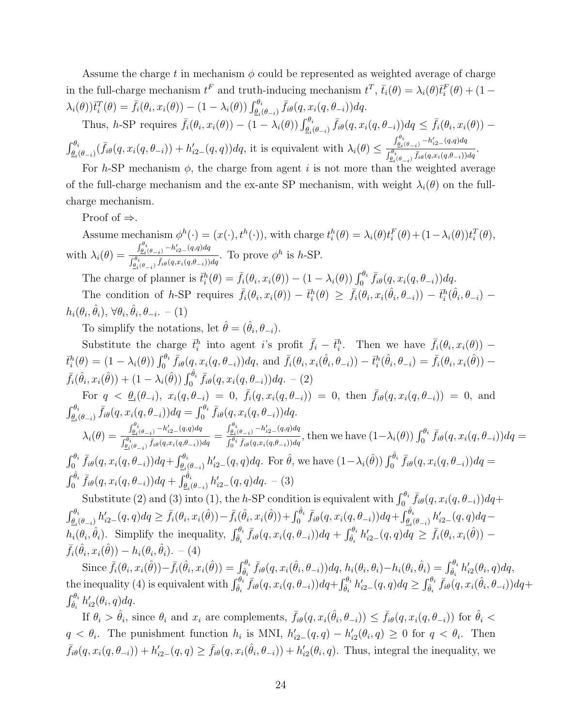Assume the charge t in mechanism  $\phi$  could be represented as weighted average of charge in the full-charge mechanism  $t^F$  and truth-inducing mechanism  $t^T$ ,  $\bar{t}_i(\theta) = \lambda_i(\theta)\bar{t}_i^F(\theta) + (1 - \bar{t}_i(\theta))^2$  $\lambda_i(\theta)$ ) $\bar{t}_i^T(\theta) = \bar{f}_i(\theta_i, x_i(\theta)) - (1 - \lambda_i(\theta)) \int_{\theta_i(\theta - i)}^{\theta_i} \bar{f}_{i\theta}(q, x_i(q, \theta - i)) dq.$ 

Thus, h-SP requires  $\bar{f}_i(\theta_i, x_i(\theta)) - (1 - \lambda_i(\theta)) \int_{\theta_i(\theta - i)}^{\theta_i} \bar{f}_{i\theta}(q, x_i(q, \theta_{-i})) dq \leq \bar{f}_i(\theta_i, x_i(\theta)) \int_{\underline{\theta_i}(\theta_{-i})}^{\theta_i}(\bar{f}_{i\theta}(q, x_i(q, \theta_{-i})) + h'_{i2-}(q, q))dq$ , it is equivalent with  $\lambda_i(\theta) \leq$  $\int_{\underline{\theta}_i}^{\theta_i}$ <sub>( $\theta_{-i}$ )</sub>  $-h'_{i2-}(q,q) dq$  $\frac{\int_{\theta_i(\theta_{-i})}^{\theta_i} \bar{f}_{i\theta}(q,x_i(q,\theta_{-i}))dq}{\int_{\theta_i(\theta_{-i})}^{\theta_i} \bar{f}_{i\theta}(q,x_i(q,\theta_{-i}))dq}.$ 

For h-SP mechanism  $\phi$ , the charge from agent i is not more than the weighted average of the full-charge mechanism and the ex-ante SP mechanism, with weight  $\lambda_i(\theta)$  on the fullcharge mechanism.

Proof of  $\Rightarrow$ .

Assume mechanism  $\phi^h(\cdot) = (x(\cdot), t^h(\cdot))$ , with charge  $t_i^h(\theta) = \lambda_i(\theta) t_i^F(\theta) + (1 - \lambda_i(\theta)) t_i^T(\theta)$ , with  $\lambda_i(\theta) =$  $\int_{\underline{\theta}_i}^{\theta_i}$ <sub>( $\theta_{-i}$ )</sub>  $-h'_{i2-}(q,q) dq$  $\frac{\partial \theta_i(\theta_{-i})}{\partial \theta_i} \frac{\partial \theta_i(\theta_{-i})}{\partial f_i(\theta_{-i})} \bar{f}_i(\theta(x_i(q, \theta_{-i}))) dq$ . To prove  $\phi^h$  is h-SP.

The charge of planner is  $\bar{t}_i^h(\theta) = \bar{f}_i(\theta_i, x_i(\theta)) - (1 - \lambda_i(\theta)) \int_0^{\theta_i} \bar{f}_{i\theta}(q, x_i(q, \theta_{-i})) dq$ .

The condition of h-SP requires  $\bar{f}_i(\theta_i, x_i(\theta)) - \bar{t}_i^h(\theta) \geq \bar{f}_i(\theta_i, x_i(\hat{\theta}_i, \theta_{-i})) - \bar{t}_i^h(\hat{\theta}_i, \theta_{-i})$  $h_i(\theta_i, \hat{\theta}_i), \, \forall \theta_i, \hat{\theta}_i, \theta_{-i}.$  -  $(1)$ 

To simplify the notations, let  $\hat{\theta} = (\hat{\theta}_i, \theta_{-i}).$ 

Substitute the charge  $\bar{t}_i^h$  into agent i's profit  $\bar{f}_i - \bar{t}_i^h$ . Then we have  $\bar{f}_i(\theta_i, x_i(\theta))$  –  $\bar{t}_i^h(\theta) = (1 - \lambda_i(\theta)) \int_0^{\theta_i} \bar{f}_{i\theta}(q, x_i(q, \theta_{-i})) dq$ , and  $\bar{f}_i(\theta_i, x_i(\hat{\theta}_i, \theta_{-i})) - \bar{t}_i^h(\hat{\theta}_i, \theta_{-i}) = \bar{f}_i(\theta_i, x_i(\hat{\theta})) \bar{f}_i(\hat{\theta}_i, x_i(\hat{\theta})) + (1 - \lambda_i(\hat{\theta})) \int_0^{\hat{\theta}_i} \bar{f}_{i\theta}(q, x_i(q, \theta_{-i})) dq.$  - (2)

For  $q \leq \underline{\theta}_i(\theta_{-i}), x_i(q, \theta_{-i}) = 0, \bar{f}_i(q, x_i(q, \theta_{-i})) = 0$ , then  $\bar{f}_{i\theta}(q, x_i(q, \theta_{-i})) = 0$ , and  $\int_{\underline{\theta}_i(\theta_{-i})}^{\theta_i} \bar{f}_{i\theta}(q, x_i(q, \theta_{-i})) dq = \int_0^{\theta_i} \bar{f}_{i\theta}(q, x_i(q, \theta_{-i})) dq.$ 

$$
\lambda_i(\theta) = \frac{\int_{\theta_i(\theta_{-i})}^{\theta_i} - h'_{i2-(q,q)dq}}{\int_{\theta_i(\theta_{-i})}^{\theta_i} \bar{f}_{i\theta}(q, x_i(q, \theta_{-i}))dq} = \frac{\int_{\theta_i(\theta_{-i})}^{\theta_i} - h'_{i2-(q,q)dq}}{\int_0^{\theta_i} \bar{f}_{i\theta}(q, x_i(q, \theta_{-i}))dq},
$$
 then we have  $(1 - \lambda_i(\theta)) \int_0^{\theta_i} \bar{f}_{i\theta}(q, x_i(q, \theta_{-i}))dq =$   

$$
\int_0^{\theta_i} \bar{f}_{i\theta}(q, x_i(q, \theta_{-i}))dq + \int_{\theta_i(\theta_{-i})}^{\theta_i} h'_{i2-(q,q)dq}.
$$
 For  $\hat{\theta}$ , we have  $(1 - \lambda_i(\hat{\theta})) \int_0^{\hat{\theta}_i} \bar{f}_{i\theta}(q, x_i(q, \theta_{-i}))dq =$   

$$
\int_0^{\hat{\theta}_i} \bar{f}_{i\theta}(q, x_i(q, \theta_{-i}))dq + \int_{\theta_i(\theta_{-i})}^{\hat{\theta}_i} h'_{i2-(q,q)dq}.
$$
 (3)

Substitute (2) and (3) into (1), the h-SP condition is equivalent with  $\int_0^{\theta_i} \bar{f}_{i\theta}(q, x_i(q, \theta_{-i})) dq +$  $\int_{\theta_i(\theta_{-i})}^{\theta_i} h'_{i2-}(q,q) dq \geq \bar{f}_i(\theta_i, x_i(\hat{\theta})) - \bar{f}_i(\hat{\theta}_i, x_i(\hat{\theta})) + \int_0^{\hat{\theta}_i} \bar{f}_{i\theta}(q, x_i(q, \theta_{-i})) dq + \int_{\theta_i(\theta_{-i})}^{\hat{\theta}_i} h'_{i2-}(q,q) dq$  $h_i(\theta_i, \hat{\theta}_i)$ . Simplify the inequality,  $\int_{\hat{\theta}_i}^{\theta_i} \bar{f}_{i\theta}(q, x_i(q, \theta_{-i})) dq + \int_{\hat{\theta}_i}^{\theta_i} h'_{i2}(q, q) dq \geq \bar{f}_i(\theta_i, x_i(\hat{\theta}))$  –  $\bar{f}_i(\hat{\theta}_i, x_i(\hat{\theta})) - h_i(\theta_i, \hat{\theta}_i)$ . - (4)

 $\text{Since } \bar{f}_i(\theta_i, x_i(\hat{\theta})) - \bar{f}_i(\hat{\theta}_i, x_i(\hat{\theta})) = \int_{\hat{\theta}_i}^{\theta_i} \bar{f}_{i\theta}(q, x_i(\hat{\theta}_i, \theta_{-i})) dq, h_i(\theta_i, \theta_i) - h_i(\theta_i, \hat{\theta}_i) = \int_{\hat{\theta}_i}^{\theta_i} h'_{i2}(\theta_i, q) dq,$ the inequality (4) is equivalent with  $\int_{\hat{\theta}_i}^{\theta_i} \bar{f}_{i\theta}(q, x_i(q, \theta_{-i})) dq + \int_{\hat{\theta}_i}^{\theta_i} h'_{i2}(q, q) dq \geq \int_{\hat{\theta}_i}^{\theta_i} \bar{f}_{i\theta}(q, x_i(\hat{\theta}_i, \theta_{-i})) dq +$  $\int_{\hat{\theta}_i}^{\theta_i} h'_{i2}(\theta_i, q) dq.$ 

If  $\theta_i > \hat{\theta}_i$ , since  $\theta_i$  and  $x_i$  are complements,  $\bar{f}_{i\theta}(q, x_i(\hat{\theta}_i, \theta_{-i})) \leq \bar{f}_{i\theta}(q, x_i(q, \theta_{-i}))$  for  $\hat{\theta}_i$  $q < \theta_i$ . The punishment function  $h_i$  is MNI,  $h'_{i2-}(q, q) - h'_{i2}(\theta_i, q) \geq 0$  for  $q < \theta_i$ . Then  $\bar{f}_{i\theta}(q, x_i(q, \theta_{-i})) + h'_{i2}(\theta, q) \geq \bar{f}_{i\theta}(q, x_i(\hat{\theta}_i, \theta_{-i})) + h'_{i2}(\theta_i, q)$ . Thus, integral the inequality, we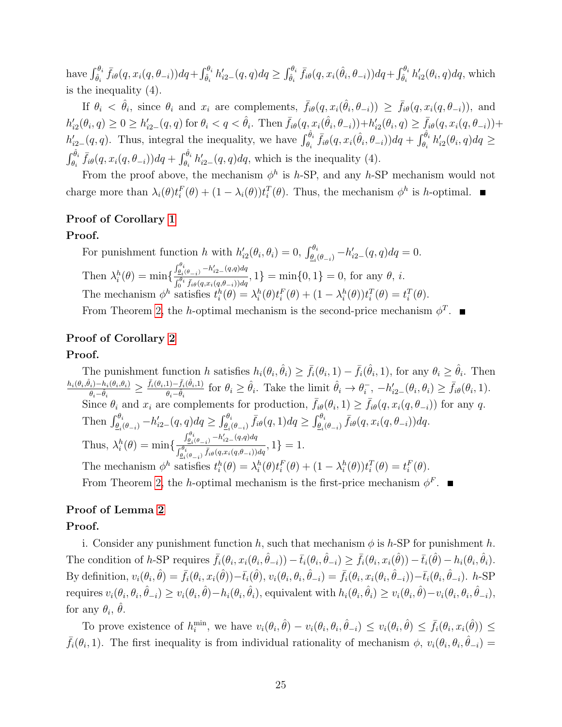have  $\int_{\hat{\theta}_i}^{\theta_i} \bar{f}_{i\theta}(q, x_i(q, \theta_{-i})) dq + \int_{\hat{\theta}_i}^{\theta_i} h'_{i2} (q, q) dq \ge \int_{\hat{\theta}_i}^{\theta_i} \bar{f}_{i\theta}(q, x_i(\hat{\theta}_i, \theta_{-i})) dq + \int_{\hat{\theta}_i}^{\theta_i} h'_{i2} (\theta_i, q) dq$ , which is the inequality (4).

If  $\theta_i < \hat{\theta}_i$ , since  $\theta_i$  and  $x_i$  are complements,  $\bar{f}_{i\theta}(q, x_i(\hat{\theta}_i, \theta_{-i})) \geq \bar{f}_{i\theta}(q, x_i(q, \theta_{-i}))$ , and  $h'_{i2}(\theta_i, q) \geq 0 \geq h'_{i2-}(q, q)$  for  $\theta_i < q < \hat{\theta}_i$ . Then  $\bar{f}_{i\theta}(q, x_i(\hat{\theta}_i, \theta_{-i})) + h'_{i2}(\theta_i, q) \geq \bar{f}_{i\theta}(q, x_i(q, \theta_{-i})) +$  $h'_{i2-}(q,q)$ . Thus, integral the inequality, we have  $\int_{\theta_i}^{\hat{\theta}_i} \bar{f}_{i\theta}(q, x_i(\hat{\theta}_i, \theta_{-i})) dq + \int_{\theta_i}^{\hat{\theta}_i} h'_{i2}(\theta_i, q) dq \geq$  $\int_{\theta_i}^{\hat{\theta}_i} \bar{f}_{i\theta}(q, x_i(q, \theta_{-i})) dq + \int_{\theta_i}^{\hat{\theta}_i} h'_{i2-}(q, q) dq$ , which is the inequality (4).

From the proof above, the mechanism  $\phi^h$  is h-SP, and any h-SP mechanism would not charge more than  $\lambda_i(\theta)t_i^F(\theta) + (1 - \lambda_i(\theta))t_i^T(\theta)$ . Thus, the mechanism  $\phi^h$  is h-optimal.

## Proof of Corollary [1](#page-16-0)

#### Proof.

For punishment function h with  $h'_{i2}(\theta_i, \theta_i) = 0$ ,  $\int_{\theta_i(\theta_{-i})}^{\theta_i} -h'_{i2-}(q, q) dq = 0$ . Then  $\lambda_i^h(\theta) = \min\{$  $\int_{\underline{\theta}_i}^{\theta_i}$ <sub>( $\theta_{-i}$ )</sub>  $-h'_{i2-}(q,q) dq$  $\int_{\frac{\theta_i}{\theta}}^{\frac{\theta_i}{\theta_i}(\theta_{-i})} \frac{\theta_i}{\bar{f}_{\theta}(\theta_i,x_i(q,\theta_{-i}))dq}, 1$  = min{0, 1} = 0, for any  $\theta$ , *i*. The mechanism  $\phi^h$  satisfies  $t_i^h(\theta) = \lambda_i^h(\theta) t_i^F(\theta) + (1 - \lambda_i^h(\theta)) t_i^T(\theta) = t_i^T(\theta)$ . From Theorem [2,](#page-15-0) the h-optimal mechanism is the second-price mechanism  $\phi^T$ .

## Proof of Corollary [2](#page-16-1)

### Proof.

The punishment function h satisfies  $h_i(\theta_i, \hat{\theta}_i) \geq \bar{f}_i(\theta_i, 1) - \bar{f}_i(\hat{\theta}_i, 1)$ , for any  $\theta_i \geq \hat{\theta}_i$ . Then  $h_i(\theta_i, \hat{\theta}_i) - h_i(\theta_i, \theta_i)$  $\frac{\theta_i)-h_i(\theta_i,\theta_i)}{\theta_i-\hat{\theta}_i}\geq \frac{\bar{f}_i(\theta_i,1)-\bar{f}_i(\hat{\theta}_i,1)}{\theta_i-\hat{\theta}_i}$  $\frac{1-\bar{f}_i(\hat{\theta}_i,1)}{\theta_i-\hat{\theta}_i}$  for  $\theta_i \geq \hat{\theta}_i$ . Take the limit  $\hat{\theta}_i \to \theta_i^$  $i, -h'_{i2-}(\theta_i, \theta_i) \geq \bar{f}_{i\theta}(\theta_i, 1).$ Since  $\theta_i$  and  $x_i$  are complements for production,  $\bar{f}_{i\theta}(\theta_i, 1) \geq \bar{f}_{i\theta}(q, x_i(q, \theta_{-i}))$  for any q. Then  $\int_{\underline{\theta_i}(\theta_{-i})}^{\theta_i} -h'_{i2-}(q,q)dq \ge \int_{\underline{\theta_i}(\theta_{-i})}^{\theta_i} \bar{f}_{i\theta}(q,1)dq \ge \int_{\underline{\theta_i}(\theta_{-i})}^{\theta_i} \bar{f}_{i\theta}(q,x_i(q,\theta_{-i}))dq$ . Thus,  $\lambda_i^h(\theta) = \min\{$  $\int_{\underline{\theta}_i}^{\theta_i}$ <sub>( $\theta_{-i}$ )</sub>  $-h'_{i2-}(q,q) dq$  $\frac{\int_{\theta_i(\theta_{-i})}^{\theta_i} \bar{f}_{i\theta}(q, x_i(q, \theta_{-i})) dq}{\int_{\theta_i(\theta_{-i})}^{\theta_i} \bar{f}_{i\theta}(q, x_i(q, \theta_{-i})) dq}, 1 \} = 1.$ The mechanism  $\phi^h$  satisfies  $t_i^h(\theta) = \lambda_i^h(\theta) t_i^F(\theta) + (1 - \lambda_i^h(\theta)) t_i^T(\theta) = t_i^F(\theta)$ . From Theorem [2,](#page-15-0) the h-optimal mechanism is the first-price mechanism  $\phi^F$ .

# Proof of Lemma [2](#page-17-0)

### Proof.

i. Consider any punishment function h, such that mechanism  $\phi$  is h-SP for punishment h. The condition of h-SP requires  $\bar{f}_i(\theta_i, x_i(\theta_i, \hat{\theta}_{-i})) - \bar{t}_i(\theta_i, \hat{\theta}_{-i}) \geq \bar{f}_i(\theta_i, x_i(\hat{\theta})) - \bar{t}_i(\hat{\theta}) - h_i(\theta_i, \hat{\theta}_i)$ . By definition,  $v_i(\theta_i, \hat{\theta}) = \bar{f}_i(\theta_i, x_i(\hat{\theta})) - \bar{t}_i(\hat{\theta}), v_i(\theta_i, \theta_i, \hat{\theta}_{-i}) = \bar{f}_i(\theta_i, x_i(\theta_i, \hat{\theta}_{-i})) - \bar{t}_i(\theta_i, \hat{\theta}_{-i}).$  h-SP  $\text{requires } v_i(\theta_i, \theta_i, \hat{\theta}_{-i}) \geq v_i(\theta_i, \hat{\theta}) - h_i(\theta_i, \hat{\theta}_i), \text{ equivalent with } h_i(\theta_i, \hat{\theta}_i) \geq v_i(\theta_i, \hat{\theta}) - v_i(\theta_i, \hat{\theta}_{-i}),$ for any  $\theta_i$ ,  $\hat{\theta}$ .

To prove existence of  $h_i^{\min}$ , we have  $v_i(\theta_i, \hat{\theta}) - v_i(\theta_i, \theta_i, \hat{\theta}_{-i}) \le v_i(\theta_i, \hat{\theta}) \le \bar{f}_i(\theta_i, x_i(\hat{\theta})) \le$  $\bar{f}_i(\theta_i, 1)$ . The first inequality is from individual rationality of mechanism  $\phi$ ,  $v_i(\theta_i, \theta_i, \hat{\theta}_{-i}) =$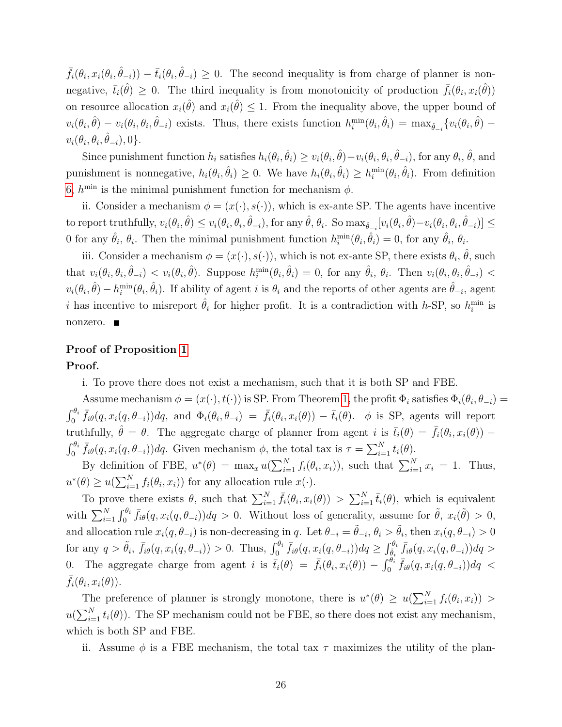$\bar{f}_i(\theta_i, x_i(\theta_i, \hat{\theta}_{-i})) - \bar{t}_i(\theta_i, \hat{\theta}_{-i}) \geq 0$ . The second inequality is from charge of planner is nonnegative,  $\bar{t}_i(\hat{\theta}) \geq 0$ . The third inequality is from monotonicity of production  $\bar{f}_i(\theta_i, x_i(\hat{\theta}))$ on resource allocation  $x_i(\hat{\theta})$  and  $x_i(\hat{\theta}) \leq 1$ . From the inequality above, the upper bound of  $v_i(\theta_i, \hat{\theta}) - v_i(\theta_i, \theta_i, \hat{\theta}_{-i})$  exists. Thus, there exists function  $h_i^{\min}(\theta_i, \hat{\theta}_i) = \max_{\hat{\theta}_{-i}} \{v_i(\theta_i, \hat{\theta}) - v_i(\theta_i, \hat{\theta}_{-i})\}$  $v_i(\theta_i, \theta_i, \hat{\theta}_{-i}), 0\}.$ 

Since punishment function  $h_i$  satisfies  $h_i(\theta_i, \hat{\theta}_i) \ge v_i(\theta_i, \hat{\theta}) - v_i(\theta_i, \theta_i, \hat{\theta}_{-i})$ , for any  $\theta_i$ ,  $\hat{\theta}$ , and punishment is nonnegative,  $h_i(\theta_i, \hat{\theta}_i) \geq 0$ . We have  $h_i(\theta_i, \hat{\theta}_i) \geq h_i^{\min}(\theta_i, \hat{\theta}_i)$ . From definition [6,](#page-17-2)  $h^{\min}$  is the minimal punishment function for mechanism  $\phi$ .

ii. Consider a mechanism  $\phi = (x(\cdot), s(\cdot))$ , which is ex-ante SP. The agents have incentive to report truthfully,  $v_i(\theta_i, \hat{\theta}) \le v_i(\theta_i, \theta_i, \hat{\theta}_{-i})$ , for any  $\hat{\theta}$ ,  $\theta_i$ . So  $\max_{\hat{\theta}_{-i}}[v_i(\theta_i, \hat{\theta}) - v_i(\theta_i, \theta_i, \hat{\theta}_{-i})] \le$ 0 for any  $\hat{\theta}_i$ ,  $\theta_i$ . Then the minimal punishment function  $h_i^{\min}(\theta_i, \hat{\theta}_i) = 0$ , for any  $\hat{\theta}_i$ ,  $\theta_i$ .

iii. Consider a mechanism  $\phi = (x(\cdot), s(\cdot))$ , which is not ex-ante SP, there exists  $\theta_i$ ,  $\hat{\theta}$ , such that  $v_i(\theta_i, \theta_i, \hat{\theta}_{-i}) < v_i(\theta_i, \hat{\theta})$ . Suppose  $h_i^{\min}(\theta_i, \hat{\theta}_i) = 0$ , for any  $\hat{\theta}_i$ ,  $\theta_i$ . Then  $v_i(\theta_i, \theta_i, \hat{\theta}_{-i}) <$  $v_i(\theta_i, \hat{\theta}) - h_i^{\min}(\theta_i, \hat{\theta}_i)$ . If ability of agent i is  $\theta_i$  and the reports of other agents are  $\hat{\theta}_{-i}$ , agent i has incentive to misreport  $\hat{\theta}_i$  for higher profit. It is a contradiction with h-SP, so  $h_i^{\min}$  is nonzero. **■** 

# Proof of Proposition [1](#page-17-1)

Proof.

i. To prove there does not exist a mechanism, such that it is both SP and FBE.

Assume mechanism  $\phi = (x(\cdot), t(\cdot))$  is SP. From Theorem [1,](#page-11-0) the profit  $\Phi_i$  satisfies  $\Phi_i(\theta_i, \theta_{-i}) =$  $\int_0^{\theta_i} \bar{f}_{i\theta}(q, x_i(q, \theta_{-i})) dq$ , and  $\Phi_i(\theta_i, \theta_{-i}) = \bar{f}_i(\theta_i, x_i(\theta)) - \bar{t}_i(\theta)$ .  $\phi$  is SP, agents will report truthfully,  $\hat{\theta} = \theta$ . The aggregate charge of planner from agent i is  $\bar{t}_i(\theta) = \bar{f}_i(\theta_i, x_i(\theta))$  –  $\int_0^{\theta_i} \bar{f}_{i\theta}(q, x_i(q, \theta_{-i})) dq$ . Given mechanism  $\phi$ , the total tax is  $\tau = \sum_{i=1}^N t_i(\theta)$ .

By definition of FBE,  $u^*(\theta) = \max_x u(\sum_{i=1}^N f_i(\theta_i, x_i))$ , such that  $\sum_{i=1}^N x_i = 1$ . Thus,  $u^*(\theta) \geq u(\sum_{i=1}^N f_i(\theta_i, x_i))$  for any allocation rule  $x(\cdot)$ .

To prove there exists  $\theta$ , such that  $\sum_{i=1}^{N} \bar{f}_i(\theta_i, x_i(\theta)) > \sum_{i=1}^{N} \bar{t}_i(\theta)$ , which is equivalent with  $\sum_{i=1}^{N} \int_0^{\theta_i} \bar{f}_{i\theta}(q, x_i(q, \theta_{-i})) dq > 0$ . Without loss of generality, assume for  $\tilde{\theta}$ ,  $x_i(\tilde{\theta}) > 0$ , and allocation rule  $x_i(q, \theta_{-i})$  is non-decreasing in q. Let  $\theta_{-i} = \tilde{\theta}_{-i}, \theta_i > \tilde{\theta}_i$ , then  $x_i(q, \theta_{-i}) > 0$  $\text{for any } q > \tilde{\theta}_i, \ \bar{f}_{i\theta}(q, x_i(q, \theta_{-i})) > 0. \text{ Thus, } \int_0^{\theta_i} \bar{f}_{i\theta}(q, x_i(q, \theta_{-i})) dq \geq \int_{\tilde{\theta}_i}^{\theta_i} \bar{f}_{i\theta}(q, x_i(q, \theta_{-i})) dq >$ 0. The aggregate charge from agent i is  $\bar{t}_i(\theta) = \bar{f}_i(\theta_i, x_i(\theta)) - \int_0^{\theta_i} \bar{f}_{i\theta}(q, x_i(q, \theta_{-i})) dq <$  $\bar{f}_i(\theta_i, x_i(\theta)).$ 

The preference of planner is strongly monotone, there is  $u^*(\theta) \geq u(\sum_{i=1}^N f_i(\theta_i, x_i)) >$  $u(\sum_{i=1}^{N} t_i(\theta))$ . The SP mechanism could not be FBE, so there does not exist any mechanism, which is both SP and FBE.

ii. Assume  $\phi$  is a FBE mechanism, the total tax  $\tau$  maximizes the utility of the plan-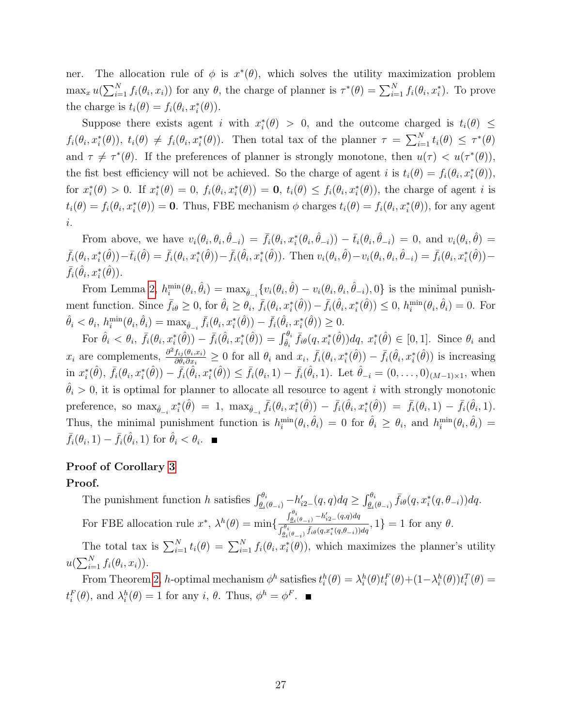ner. The allocation rule of  $\phi$  is  $x^*(\theta)$ , which solves the utility maximization problem  $\max_x u(\sum_{i=1}^N f_i(\theta_i, x_i))$  for any  $\theta$ , the charge of planner is  $\tau^*(\theta) = \sum_{i=1}^N f_i(\theta_i, x_i^*)$ . To prove the charge is  $t_i(\theta) = f_i(\theta_i, x_i^*(\theta)).$ 

Suppose there exists agent i with  $x_i^*(\theta) > 0$ , and the outcome charged is  $t_i(\theta) \leq$  $f_i(\theta_i, x_i^*(\theta))$ ,  $t_i(\theta) \neq f_i(\theta_i, x_i^*(\theta))$ . Then total tax of the planner  $\tau = \sum_{i=1}^N t_i(\theta) \leq \tau^*(\theta)$ and  $\tau \neq \tau^*(\theta)$ . If the preferences of planner is strongly monotone, then  $u(\tau) < u(\tau^*(\theta))$ , the fist best efficiency will not be achieved. So the charge of agent i is  $t_i(\theta) = f_i(\theta_i, x_i^*(\theta)),$ for  $x_i^*(\theta) > 0$ . If  $x_i^*(\theta) = 0$ ,  $f_i(\theta_i, x_i^*(\theta)) = \mathbf{0}$ ,  $t_i(\theta) \leq f_i(\theta_i, x_i^*(\theta))$ , the charge of agent i is  $t_i(\theta) = f_i(\theta_i, x_i^*(\theta)) = \mathbf{0}$ . Thus, FBE mechanism  $\phi$  charges  $t_i(\theta) = f_i(\theta_i, x_i^*(\theta))$ , for any agent i.

From above, we have  $v_i(\theta_i, \theta_i, \hat{\theta}_{-i}) = \bar{f}_i(\theta_i, x_i^*(\theta_i, \hat{\theta}_{-i})) - \bar{t}_i(\theta_i, \hat{\theta}_{-i}) = 0$ , and  $v_i(\theta_i, \hat{\theta}) =$  $\bar{f}_i(\theta_i, x_i^*(\hat{\theta})) - \bar{t}_i(\hat{\theta}) = \bar{f}_i(\theta_i, x_i^*(\hat{\theta})) - \bar{f}_i(\hat{\theta}_i, x_i^*(\hat{\theta})).$  Then  $v_i(\theta_i, \hat{\theta}) - v_i(\theta_i, \theta_i, \hat{\theta}_{-i}) = \bar{f}_i(\theta_i, x_i^*(\hat{\theta})) - \bar{f}_i(\theta_i, x_i^*(\hat{\theta}))$  $\bar{f}_i(\hat{\theta}_i, x_i^*(\hat{\theta})).$ 

From Lemma [2,](#page-17-0)  $h_i^{\min}(\theta_i, \hat{\theta}_i) = \max_{\hat{\theta}_{-i}} \{v_i(\theta_i, \hat{\theta}) - v_i(\theta_i, \theta_i, \hat{\theta}_{-i}), 0\}$  is the minimal punishment function. Since  $\bar{f}_{i\theta} \geq 0$ , for  $\hat{\theta}_i \geq \theta_i$ ,  $\bar{f}_i(\theta_i, x_i^*(\hat{\theta})) - \bar{f}_i(\hat{\theta}_i, x_i^*(\hat{\theta})) \leq 0$ ,  $h_i^{\min}(\theta_i, \hat{\theta}_i) = 0$ . For  $\hat{\theta}_i < \theta_i$ ,  $h_i^{\min}(\theta_i, \hat{\theta}_i) = \max_{\hat{\theta}_{-i}} \bar{f}_i(\theta_i, x_i^*(\hat{\theta})) - \bar{f}_i(\hat{\theta}_i, x_i^*(\hat{\theta})) \ge 0.$ 

For  $\hat{\theta}_i < \theta_i$ ,  $\bar{f}_i(\theta_i, x_i^*(\hat{\theta})) - \bar{f}_i(\hat{\theta}_i, x_i^*(\hat{\theta})) = \int_{\hat{\theta}_i}^{\theta_i} \bar{f}_{i\theta}(q, x_i^*(\hat{\theta})) dq$ ,  $x_i^*(\hat{\theta}) \in [0, 1]$ . Since  $\theta_i$  and  $x_i$  are complements,  $\frac{\partial^2 f_{ij}(\theta_i, x_i)}{\partial \theta_i \partial x_i}$  $\frac{f_{ij}(\theta_i,x_i)}{\partial \theta_i \partial x_i} \geq 0$  for all  $\theta_i$  and  $x_i$ ,  $\bar{f}_i(\theta_i,x_i^*(\hat{\theta})) - \bar{f}_i(\hat{\theta}_i,x_i^*(\hat{\theta}))$  is increasing  $\text{in } x_i^*(\hat{\theta}), \ \bar{f}_i(\theta_i, x_i^*(\hat{\theta})) - \bar{f}_i(\hat{\theta}_i, x_i^*(\hat{\theta})) \leq \bar{f}_i(\theta_i, 1) - \bar{f}_i(\hat{\theta}_i, 1).$  Let  $\hat{\theta}_{-i} = (0, \ldots, 0)_{(M-1)\times 1}$ , when  $\hat{\theta}_i > 0$ , it is optimal for planner to allocate all resource to agent i with strongly monotonic preference, so  $\max_{\hat{\theta}_{-i}} x_i^*(\hat{\theta}) = 1$ ,  $\max_{\hat{\theta}_{-i}} \bar{f}_i(\theta_i, x_i^*(\hat{\theta})) - \bar{f}_i(\hat{\theta}_i, x_i^*(\hat{\theta})) = \bar{f}_i(\theta_i, 1) - \bar{f}_i(\hat{\theta}_i, 1)$ . Thus, the minimal punishment function is  $h_i^{\min}(\theta_i, \hat{\theta}_i) = 0$  for  $\hat{\theta}_i \ge \theta_i$ , and  $h_i^{\min}(\theta_i, \hat{\theta}_i) =$  $\bar{f}_i(\theta_i, 1) - \bar{f}_i(\hat{\theta}_i, 1)$  for  $\hat{\theta}_i < \theta_i$ .

# Proof of Corollary [3](#page-18-0)

#### Proof.

The punishment function h satisfies  $\int_{\underline{\theta_i}(\theta-i)}^{\theta_i} -h'_{i2-}(q,q)dq \ge \int_{\underline{\theta_i}(\theta-i)}^{\theta_i} \bar{f}_{i\theta}(q, x_i^*(q, \theta_{-i}))dq$ . For FBE allocation rule  $x^*$ ,  $\lambda^h(\theta) = \min\{$  $\int_{\underline{\theta}_i(\theta_{-i})}^{\theta_i} -h'_{i2-}(q,q)dq$  $\int_{\theta_i(\theta_{-i})}^{\theta_i} \overline{f_{\theta}^{(i)}(q_{-i})} \overline{f_i}(\theta_{i}, x_i^*(q_{i}, \theta_{-i})) dq}$ , 1} = 1 for any  $\theta$ .

The total tax is  $\sum_{i=1}^{N} t_i(\theta) = \sum_{i=1}^{N} f_i(\theta_i, x_i^*(\theta))$ , which maximizes the planner's utility  $u(\sum_{i=1}^N f_i(\theta_i, x_i)).$ 

From Theorem [2,](#page-15-0) h-optimal mechanism  $\phi^h$  satisfies  $t_i^h(\theta) = \lambda_i^h(\theta)t_i^F(\theta) + (1-\lambda_i^h(\theta))t_i^T(\theta) =$  $t_i^F(\theta)$ , and  $\lambda_i^h(\theta) = 1$  for any *i*,  $\theta$ . Thus,  $\phi^h = \phi^F$ .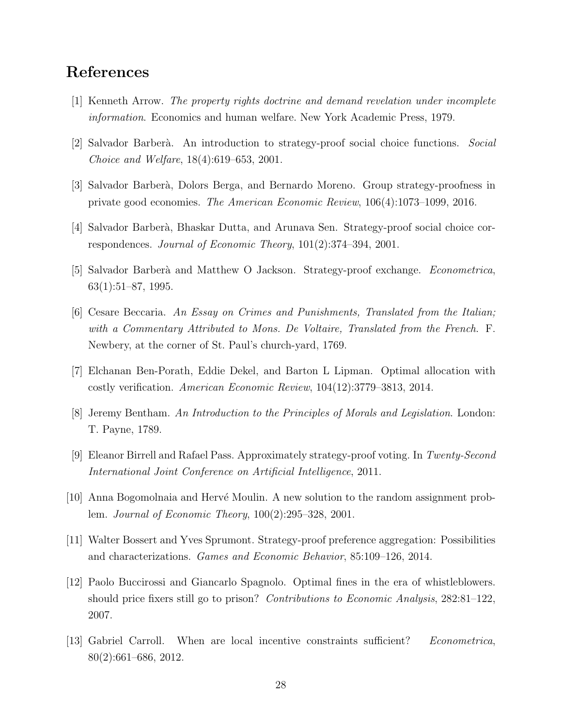# References

- <span id="page-28-1"></span>[1] Kenneth Arrow. The property rights doctrine and demand revelation under incomplete information. Economics and human welfare. New York Academic Press, 1979.
- <span id="page-28-2"></span>[2] Salvador Barber`a. An introduction to strategy-proof social choice functions. Social Choice and Welfare, 18(4):619–653, 2001.
- <span id="page-28-6"></span>[3] Salvador Barber`a, Dolors Berga, and Bernardo Moreno. Group strategy-proofness in private good economies. The American Economic Review, 106(4):1073–1099, 2016.
- <span id="page-28-5"></span>[4] Salvador Barber`a, Bhaskar Dutta, and Arunava Sen. Strategy-proof social choice correspondences. Journal of Economic Theory, 101(2):374–394, 2001.
- <span id="page-28-3"></span>[5] Salvador Barberà and Matthew O Jackson. Strategy-proof exchange. *Econometrica*, 63(1):51–87, 1995.
- <span id="page-28-7"></span>[6] Cesare Beccaria. An Essay on Crimes and Punishments, Translated from the Italian; with a Commentary Attributed to Mons. De Voltaire, Translated from the French. F. Newbery, at the corner of St. Paul's church-yard, 1769.
- <span id="page-28-10"></span>[7] Elchanan Ben-Porath, Eddie Dekel, and Barton L Lipman. Optimal allocation with costly verification. American Economic Review, 104(12):3779–3813, 2014.
- <span id="page-28-8"></span>[8] Jeremy Bentham. An Introduction to the Principles of Morals and Legislation. London: T. Payne, 1789.
- <span id="page-28-11"></span>[9] Eleanor Birrell and Rafael Pass. Approximately strategy-proof voting. In Twenty-Second International Joint Conference on Artificial Intelligence, 2011.
- <span id="page-28-0"></span>[10] Anna Bogomolnaia and Hervé Moulin. A new solution to the random assignment problem. Journal of Economic Theory, 100(2):295–328, 2001.
- <span id="page-28-4"></span>[11] Walter Bossert and Yves Sprumont. Strategy-proof preference aggregation: Possibilities and characterizations. Games and Economic Behavior, 85:109–126, 2014.
- <span id="page-28-9"></span>[12] Paolo Buccirossi and Giancarlo Spagnolo. Optimal fines in the era of whistleblowers. should price fixers still go to prison? *Contributions to Economic Analysis*, 282:81–122, 2007.
- <span id="page-28-12"></span>[13] Gabriel Carroll. When are local incentive constraints sufficient? Econometrica, 80(2):661–686, 2012.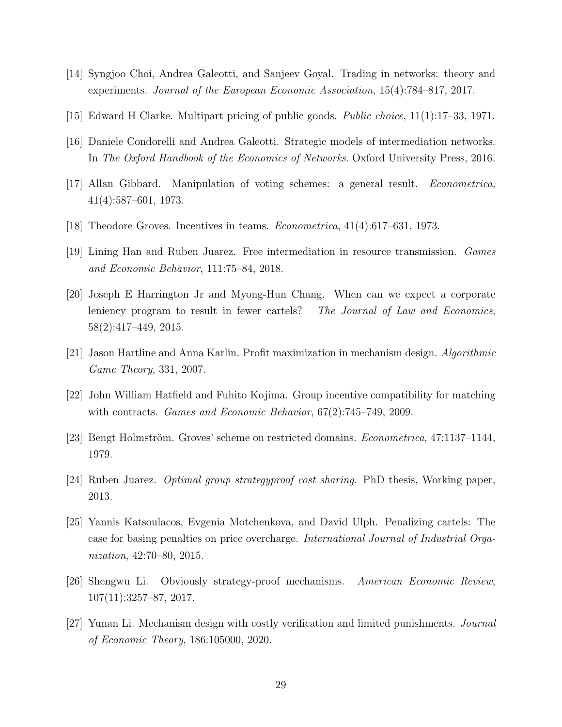- <span id="page-29-12"></span>[14] Syngjoo Choi, Andrea Galeotti, and Sanjeev Goyal. Trading in networks: theory and experiments. Journal of the European Economic Association, 15(4):784–817, 2017.
- <span id="page-29-0"></span>[15] Edward H Clarke. Multipart pricing of public goods. Public choice, 11(1):17–33, 1971.
- <span id="page-29-11"></span>[16] Daniele Condorelli and Andrea Galeotti. Strategic models of intermediation networks. In The Oxford Handbook of the Economics of Networks. Oxford University Press, 2016.
- <span id="page-29-2"></span>[17] Allan Gibbard. Manipulation of voting schemes: a general result. Econometrica, 41(4):587–601, 1973.
- <span id="page-29-1"></span>[18] Theodore Groves. Incentives in teams. Econometrica, 41(4):617–631, 1973.
- <span id="page-29-13"></span>[19] Lining Han and Ruben Juarez. Free intermediation in resource transmission. Games and Economic Behavior, 111:75–84, 2018.
- <span id="page-29-6"></span>[20] Joseph E Harrington Jr and Myong-Hun Chang. When can we expect a corporate leniency program to result in fewer cartels? The Journal of Law and Economics, 58(2):417–449, 2015.
- <span id="page-29-10"></span>[21] Jason Hartline and Anna Karlin. Profit maximization in mechanism design. Algorithmic Game Theory, 331, 2007.
- <span id="page-29-3"></span>[22] John William Hatfield and Fuhito Kojima. Group incentive compatibility for matching with contracts. Games and Economic Behavior, 67(2):745–749, 2009.
- <span id="page-29-5"></span>[23] Bengt Holmström. Groves' scheme on restricted domains. *Econometrica*, 47:1137–1144, 1979.
- <span id="page-29-4"></span>[24] Ruben Juarez. Optimal group strategyproof cost sharing. PhD thesis, Working paper, 2013.
- <span id="page-29-7"></span>[25] Yannis Katsoulacos, Evgenia Motchenkova, and David Ulph. Penalizing cartels: The case for basing penalties on price overcharge. International Journal of Industrial Organization, 42:70–80, 2015.
- <span id="page-29-9"></span>[26] Shengwu Li. Obviously strategy-proof mechanisms. American Economic Review, 107(11):3257–87, 2017.
- <span id="page-29-8"></span>[27] Yunan Li. Mechanism design with costly verification and limited punishments. Journal of Economic Theory, 186:105000, 2020.